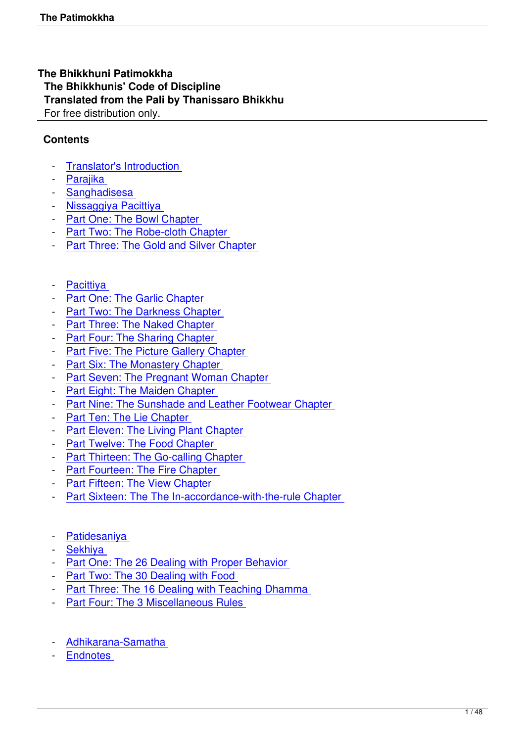#### **Contents**

- **Translator's Introduction**
- Parajika
- Sanghadisesa
- [Nissaggiya Pacittiya](#intro)
- [Part One](#Pr): The Bowl Chapter
- [Part Two: The R](#Sg)obe-cloth Chapter
- [Part Three: The Gold](#NP) and Silver Chapter
- **Pacittiva**
- Part One: The Garlic Chapter
- Part Two: The Darkness Chapter
- [Part Thre](#Pc)e: The Naked Chapter
- [Part Four: The Sharing Chapte](#Pc-1)r
- [Part Five: The Picture Gallery Cha](#Pc-2)pter
- [Part Six: The Monastery Chapter](#Pc-3)
- [Part Seven: The Pregnant Woma](#Pc-4)n Chapter
- [Part Eight: The Maiden Chapter](#Pc-5)
- [Part Nine: The Sunshade and Lea](#Pc-6)ther Footwear Chapter
- [Part Ten: The Lie Chapter](#Pc-7)
- [Part Eleven: The Living Plant Ch](#Pc-8)apter
- [Part Twelve: The Food Chapter](#Pc-9)
- [Part Thirteen: The Go-callin](#Pc-10)g Chapter
- [Part Fourteen: The Fire Chapter](#Pc-11)
- [Part Fifteen: The View Chapter](#Pc-12)
- [Part Sixteen: The The In-accordance-w](#Pc-13)ith-the-rule Chapter
- **Patidesaniya**
- Sekhiya
- Part One: The 26 Dealing with Proper Behavior
- [Part Two: The](#Pd) 30 Dealing with Food
- [Part Thre](#Sk)e: The 16 Dealing with Teaching Dhamma
- [Part Four: The 3 Miscellaneous Rules](#Sk1)
- [Adhikarana-Samatha](#Sk4)
- Endnotes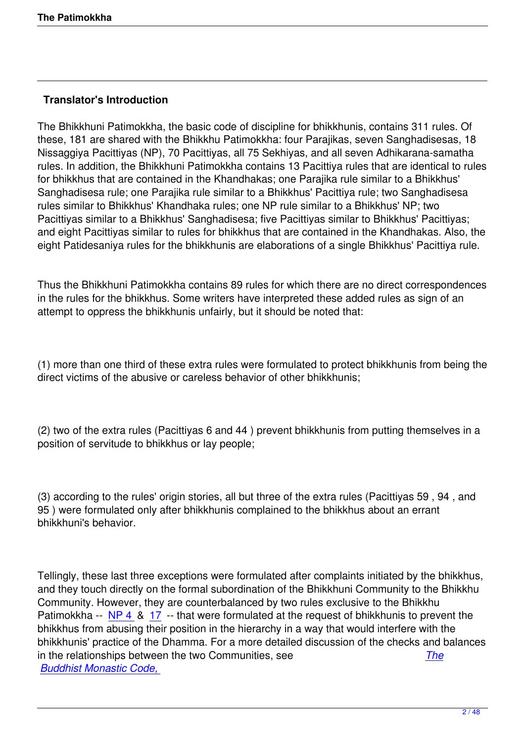#### **Translator's Introduction**

The Bhikkhuni Patimokkha, the basic code of discipline for bhikkhunis, contains 311 rules. Of these, 181 are shared with the Bhikkhu Patimokkha: four Parajikas, seven Sanghadisesas, 18 Nissaggiya Pacittiyas (NP), 70 Pacittiyas, all 75 Sekhiyas, and all seven Adhikarana-samatha rules. In addition, the Bhikkhuni Patimokkha contains 13 Pacittiya rules that are identical to rules for bhikkhus that are contained in the Khandhakas; one Parajika rule similar to a Bhikkhus' Sanghadisesa rule; one Parajika rule similar to a Bhikkhus' Pacittiya rule; two Sanghadisesa rules similar to Bhikkhus' Khandhaka rules; one NP rule similar to a Bhikkhus' NP; two Pacittiyas similar to a Bhikkhus' Sanghadisesa; five Pacittiyas similar to Bhikkhus' Pacittiyas; and eight Pacittiyas similar to rules for bhikkhus that are contained in the Khandhakas. Also, the eight Patidesaniya rules for the bhikkhunis are elaborations of a single Bhikkhus' Pacittiya rule.

Thus the Bhikkhuni Patimokkha contains 89 rules for which there are no direct correspondences in the rules for the bhikkhus. Some writers have interpreted these added rules as sign of an attempt to oppress the bhikkhunis unfairly, but it should be noted that:

(1) more than one third of these extra rules were formulated to protect bhikkhunis from being the direct victims of the abusive or careless behavior of other bhikkhunis;

(2) two of the extra rules (Pacittiyas 6 and 44 ) prevent bhikkhunis from putting themselves in a position of servitude to bhikkhus or lay people;

(3) according to the rules' origin stories, all but three of the extra rules (Pacittiyas 59 , 94 , and 95 ) were formulated only after bhikkhunis complained to the bhikkhus about an errant bhikkhuni's behavior.

Tellingly, these last three exceptions were formulated after complaints initiated by the bhikkhus, and they touch directly on the formal subordination of the Bhikkhuni Community to the Bhikkhu Community. However, they are counterbalanced by two rules exclusive to the Bhikkhu Patimokkha -- NP 4 & 17 -- that were formulated at the request of bhikkhunis to prevent the bhikkhus from abusing their position in the hierarchy in a way that would interfere with the bhikkhunis' practice of the Dhamma. For a more detailed discussion of the checks and balances in the relations[hips be](http://www.yellowrobe.com/practice/the-patimokkha/217-the-patimokkha-for-bhikkhus.html)t[wee](file:///d:/Backup/wwwroot/buddha/patimokkha2.htm#NP17)n the two Communities, see *The Buddhist Monastic Code,*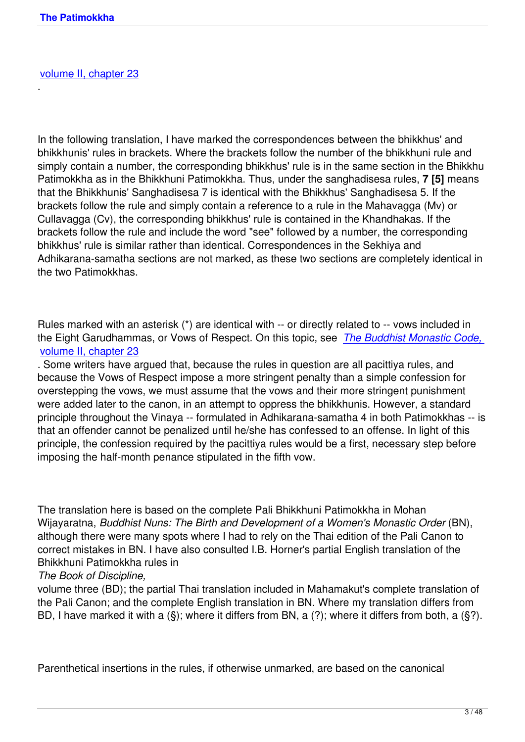.

In the following translation, I have marked the correspondences between the bhikkhus' and bhikkhunis' rules in brackets. Where the brackets follow the number of the bhikkhuni rule and simply contain a number, the corresponding bhikkhus' rule is in the same section in the Bhikkhu Patimokkha as in the Bhikkhuni Patimokkha. Thus, under the sanghadisesa rules, **7 [5]** means that the Bhikkhunis' Sanghadisesa 7 is identical with the Bhikkhus' Sanghadisesa 5. If the brackets follow the rule and simply contain a reference to a rule in the Mahavagga (Mv) or Cullavagga (Cv), the corresponding bhikkhus' rule is contained in the Khandhakas. If the brackets follow the rule and include the word "see" followed by a number, the corresponding bhikkhus' rule is similar rather than identical. Correspondences in the Sekhiya and Adhikarana-samatha sections are not marked, as these two sections are completely identical in the two Patimokkhas.

Rules marked with an asterisk (\*) are identical with -- or directly related to -- vows included in the Eight Garudhammas, or Vows of Respect. On this topic, see *The Buddhist Monastic Code,*  volume II, chapter 23

. Some writers have argued that, because the rules in question are all pacittiya rules, and because the Vows of Respect impose a more stringent penalty th[an a simple confession for](http://www.yellowrobe.com/practice/the-patimokkha/219-online-resources-of-patimokkha.html) [overstepping the vows](http://www.yellowrobe.com/practice/the-patimokkha/219-online-resources-of-patimokkha.html), we must assume that the vows and their more stringent punishment were added later to the canon, in an attempt to oppress the bhikkhunis. However, a standard principle throughout the Vinaya -- formulated in Adhikarana-samatha 4 in both Patimokkhas -- is that an offender cannot be penalized until he/she has confessed to an offense. In light of this principle, the confession required by the pacittiya rules would be a first, necessary step before imposing the half-month penance stipulated in the fifth vow.

The translation here is based on the complete Pali Bhikkhuni Patimokkha in Mohan Wijayaratna, *Buddhist Nuns: The Birth and Development of a Women's Monastic Order* (BN), although there were many spots where I had to rely on the Thai edition of the Pali Canon to correct mistakes in BN. I have also consulted I.B. Horner's partial English translation of the Bhikkhuni Patimokkha rules in

#### *The Book of Discipline,*

volume three (BD); the partial Thai translation included in Mahamakut's complete translation of the Pali Canon; and the complete English translation in BN. Where my translation differs from BD, I have marked it with a (§); where it differs from BN, a (?); where it differs from both, a (§?).

Parenthetical insertions in the rules, if otherwise unmarked, are based on the canonical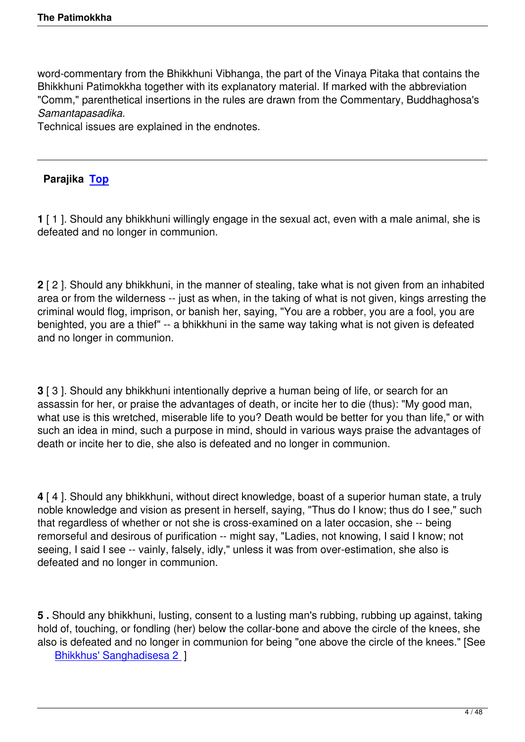word-commentary from the Bhikkhuni Vibhanga, the part of the Vinaya Pitaka that contains the Bhikkhuni Patimokkha together with its explanatory material. If marked with the abbreviation "Comm," parenthetical insertions in the rules are drawn from the Commentary, Buddhaghosa's *Samantapasadika.* 

Technical issues are explained in the endnotes.

#### **Parajika Top**

**1** [ 1 ]. Sho[uld a](#toc)ny bhikkhuni willingly engage in the sexual act, even with a male animal, she is defeated and no longer in communion.

**2** [ 2 ]. Should any bhikkhuni, in the manner of stealing, take what is not given from an inhabited area or from the wilderness -- just as when, in the taking of what is not given, kings arresting the criminal would flog, imprison, or banish her, saying, "You are a robber, you are a fool, you are benighted, you are a thief" -- a bhikkhuni in the same way taking what is not given is defeated and no longer in communion.

**3** [ 3 ]. Should any bhikkhuni intentionally deprive a human being of life, or search for an assassin for her, or praise the advantages of death, or incite her to die (thus): "My good man, what use is this wretched, miserable life to you? Death would be better for you than life," or with such an idea in mind, such a purpose in mind, should in various ways praise the advantages of death or incite her to die, she also is defeated and no longer in communion.

**4** [ 4 ]. Should any bhikkhuni, without direct knowledge, boast of a superior human state, a truly noble knowledge and vision as present in herself, saying, "Thus do I know; thus do I see," such that regardless of whether or not she is cross-examined on a later occasion, she -- being remorseful and desirous of purification -- might say, "Ladies, not knowing, I said I know; not seeing, I said I see -- vainly, falsely, idly," unless it was from over-estimation, she also is defeated and no longer in communion.

**5 .** Should any bhikkhuni, lusting, consent to a lusting man's rubbing, rubbing up against, taking hold of, touching, or fondling (her) below the collar-bone and above the circle of the knees, she also is defeated and no longer in communion for being "one above the circle of the knees." [See Bhikkhus' Sanghadisesa 2 ]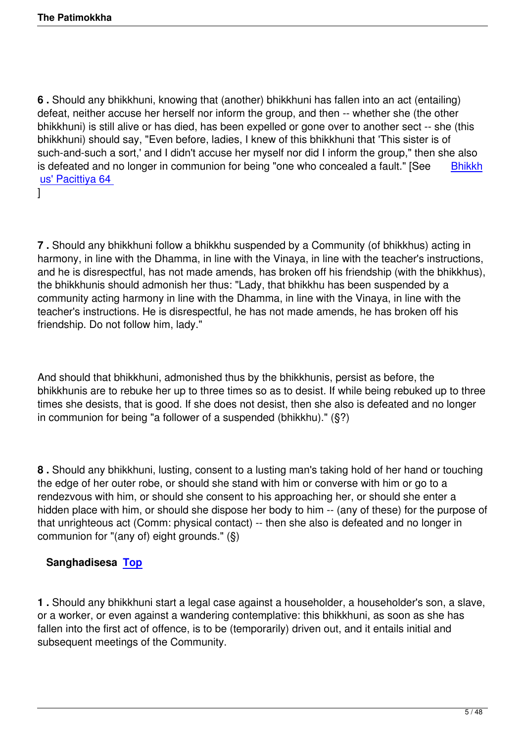**6 .** Should any bhikkhuni, knowing that (another) bhikkhuni has fallen into an act (entailing) defeat, neither accuse her herself nor inform the group, and then -- whether she (the other bhikkhuni) is still alive or has died, has been expelled or gone over to another sect -- she (this bhikkhuni) should say, "Even before, ladies, I knew of this bhikkhuni that 'This sister is of such-and-such a sort,' and I didn't accuse her myself nor did I inform the group," then she also is defeated and no longer in communion for being "one who concealed a fault." [See Bhikkh us' Pacittiya 64

**7 .** Should any bhikkhuni follow a bhikkhu suspended by a Community (of bhikkhus) acting in harmony, in line with the Dhamma, in line with the Vinaya, in line with the teacher's instructions, and he is disrespectful, has not made amends, has broken off his friendship (with the bhikkhus), the bhikkhunis should admonish her thus: "Lady, that bhikkhu has been suspended by a community acting harmony in line with the Dhamma, in line with the Vinaya, in line with the teacher's instructions. He is disrespectful, he has not made amends, he has broken off his friendship. Do not follow him, lady."

And should that bhikkhuni, admonished thus by the bhikkhunis, persist as before, the bhikkhunis are to rebuke her up to three times so as to desist. If while being rebuked up to three times she desists, that is good. If she does not desist, then she also is defeated and no longer in communion for being "a follower of a suspended (bhikkhu)." (§?)

**8 .** Should any bhikkhuni, lusting, consent to a lusting man's taking hold of her hand or touching the edge of her outer robe, or should she stand with him or converse with him or go to a rendezvous with him, or should she consent to his approaching her, or should she enter a hidden place with him, or should she dispose her body to him -- (any of these) for the purpose of that unrighteous act (Comm: physical contact) -- then she also is defeated and no longer in communion for "(any of) eight grounds." (§)

## **Sanghadisesa Top**

]

**1 .** Should any bhi[kkhu](#toc)ni start a legal case against a householder, a householder's son, a slave, or a worker, or even against a wandering contemplative: this bhikkhuni, as soon as she has fallen into the first act of offence, is to be (temporarily) driven out, and it entails initial and subsequent meetings of the Community.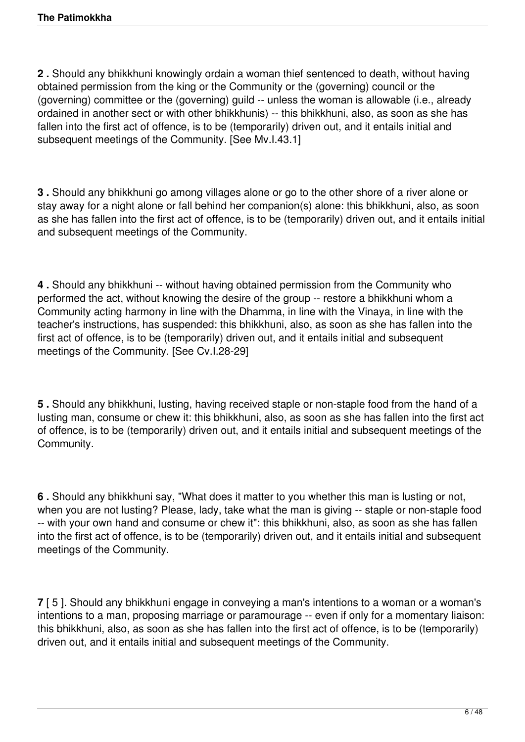**2 .** Should any bhikkhuni knowingly ordain a woman thief sentenced to death, without having obtained permission from the king or the Community or the (governing) council or the (governing) committee or the (governing) guild -- unless the woman is allowable (i.e., already ordained in another sect or with other bhikkhunis) -- this bhikkhuni, also, as soon as she has fallen into the first act of offence, is to be (temporarily) driven out, and it entails initial and subsequent meetings of the Community. [See Mv.I.43.1]

**3 .** Should any bhikkhuni go among villages alone or go to the other shore of a river alone or stay away for a night alone or fall behind her companion(s) alone: this bhikkhuni, also, as soon as she has fallen into the first act of offence, is to be (temporarily) driven out, and it entails initial and subsequent meetings of the Community.

**4 .** Should any bhikkhuni -- without having obtained permission from the Community who performed the act, without knowing the desire of the group -- restore a bhikkhuni whom a Community acting harmony in line with the Dhamma, in line with the Vinaya, in line with the teacher's instructions, has suspended: this bhikkhuni, also, as soon as she has fallen into the first act of offence, is to be (temporarily) driven out, and it entails initial and subsequent meetings of the Community. [See Cv.I.28-29]

**5 .** Should any bhikkhuni, lusting, having received staple or non-staple food from the hand of a lusting man, consume or chew it: this bhikkhuni, also, as soon as she has fallen into the first act of offence, is to be (temporarily) driven out, and it entails initial and subsequent meetings of the Community.

**6 .** Should any bhikkhuni say, "What does it matter to you whether this man is lusting or not, when you are not lusting? Please, lady, take what the man is giving -- staple or non-staple food -- with your own hand and consume or chew it": this bhikkhuni, also, as soon as she has fallen into the first act of offence, is to be (temporarily) driven out, and it entails initial and subsequent meetings of the Community.

**7** [ 5 ]. Should any bhikkhuni engage in conveying a man's intentions to a woman or a woman's intentions to a man, proposing marriage or paramourage -- even if only for a momentary liaison: this bhikkhuni, also, as soon as she has fallen into the first act of offence, is to be (temporarily) driven out, and it entails initial and subsequent meetings of the Community.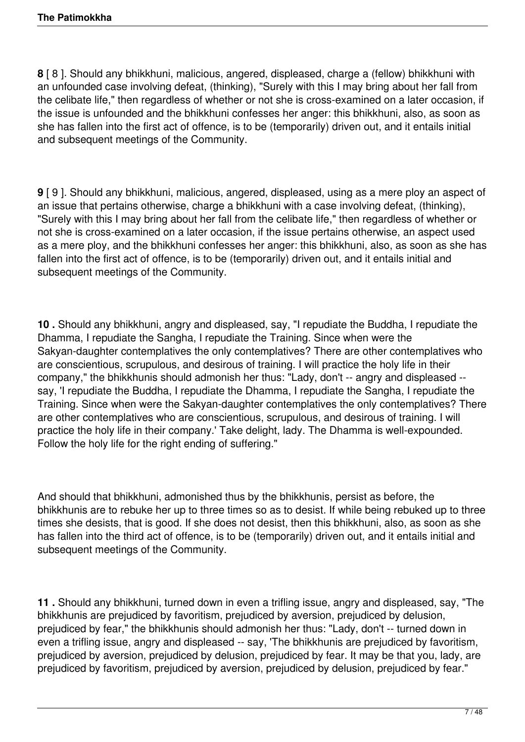**8** [ 8 ]. Should any bhikkhuni, malicious, angered, displeased, charge a (fellow) bhikkhuni with an unfounded case involving defeat, (thinking), "Surely with this I may bring about her fall from the celibate life," then regardless of whether or not she is cross-examined on a later occasion, if the issue is unfounded and the bhikkhuni confesses her anger: this bhikkhuni, also, as soon as she has fallen into the first act of offence, is to be (temporarily) driven out, and it entails initial and subsequent meetings of the Community.

**9** [ 9 ]. Should any bhikkhuni, malicious, angered, displeased, using as a mere ploy an aspect of an issue that pertains otherwise, charge a bhikkhuni with a case involving defeat, (thinking), "Surely with this I may bring about her fall from the celibate life," then regardless of whether or not she is cross-examined on a later occasion, if the issue pertains otherwise, an aspect used as a mere ploy, and the bhikkhuni confesses her anger: this bhikkhuni, also, as soon as she has fallen into the first act of offence, is to be (temporarily) driven out, and it entails initial and subsequent meetings of the Community.

**10 .** Should any bhikkhuni, angry and displeased, say, "I repudiate the Buddha, I repudiate the Dhamma, I repudiate the Sangha, I repudiate the Training. Since when were the Sakyan-daughter contemplatives the only contemplatives? There are other contemplatives who are conscientious, scrupulous, and desirous of training. I will practice the holy life in their company," the bhikkhunis should admonish her thus: "Lady, don't -- angry and displeased - say, 'I repudiate the Buddha, I repudiate the Dhamma, I repudiate the Sangha, I repudiate the Training. Since when were the Sakyan-daughter contemplatives the only contemplatives? There are other contemplatives who are conscientious, scrupulous, and desirous of training. I will practice the holy life in their company.' Take delight, lady. The Dhamma is well-expounded. Follow the holy life for the right ending of suffering."

And should that bhikkhuni, admonished thus by the bhikkhunis, persist as before, the bhikkhunis are to rebuke her up to three times so as to desist. If while being rebuked up to three times she desists, that is good. If she does not desist, then this bhikkhuni, also, as soon as she has fallen into the third act of offence, is to be (temporarily) driven out, and it entails initial and subsequent meetings of the Community.

**11 .** Should any bhikkhuni, turned down in even a trifling issue, angry and displeased, say, "The bhikkhunis are prejudiced by favoritism, prejudiced by aversion, prejudiced by delusion, prejudiced by fear," the bhikkhunis should admonish her thus: "Lady, don't -- turned down in even a trifling issue, angry and displeased -- say, 'The bhikkhunis are prejudiced by favoritism, prejudiced by aversion, prejudiced by delusion, prejudiced by fear. It may be that you, lady, are prejudiced by favoritism, prejudiced by aversion, prejudiced by delusion, prejudiced by fear."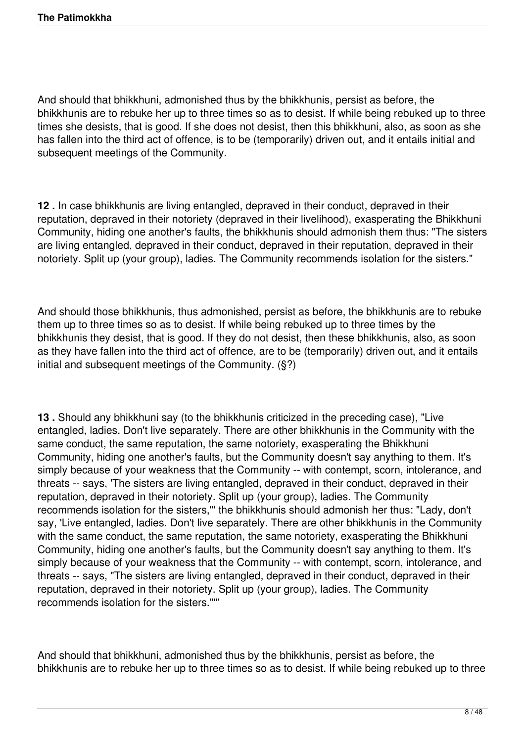And should that bhikkhuni, admonished thus by the bhikkhunis, persist as before, the bhikkhunis are to rebuke her up to three times so as to desist. If while being rebuked up to three times she desists, that is good. If she does not desist, then this bhikkhuni, also, as soon as she has fallen into the third act of offence, is to be (temporarily) driven out, and it entails initial and subsequent meetings of the Community.

**12 .** In case bhikkhunis are living entangled, depraved in their conduct, depraved in their reputation, depraved in their notoriety (depraved in their livelihood), exasperating the Bhikkhuni Community, hiding one another's faults, the bhikkhunis should admonish them thus: "The sisters are living entangled, depraved in their conduct, depraved in their reputation, depraved in their notoriety. Split up (your group), ladies. The Community recommends isolation for the sisters."

And should those bhikkhunis, thus admonished, persist as before, the bhikkhunis are to rebuke them up to three times so as to desist. If while being rebuked up to three times by the bhikkhunis they desist, that is good. If they do not desist, then these bhikkhunis, also, as soon as they have fallen into the third act of offence, are to be (temporarily) driven out, and it entails initial and subsequent meetings of the Community. (§?)

**13 .** Should any bhikkhuni say (to the bhikkhunis criticized in the preceding case), "Live entangled, ladies. Don't live separately. There are other bhikkhunis in the Community with the same conduct, the same reputation, the same notoriety, exasperating the Bhikkhuni Community, hiding one another's faults, but the Community doesn't say anything to them. It's simply because of your weakness that the Community -- with contempt, scorn, intolerance, and threats -- says, 'The sisters are living entangled, depraved in their conduct, depraved in their reputation, depraved in their notoriety. Split up (your group), ladies. The Community recommends isolation for the sisters,'" the bhikkhunis should admonish her thus: "Lady, don't say, 'Live entangled, ladies. Don't live separately. There are other bhikkhunis in the Community with the same conduct, the same reputation, the same notoriety, exasperating the Bhikkhuni Community, hiding one another's faults, but the Community doesn't say anything to them. It's simply because of your weakness that the Community -- with contempt, scorn, intolerance, and threats -- says, "The sisters are living entangled, depraved in their conduct, depraved in their reputation, depraved in their notoriety. Split up (your group), ladies. The Community recommends isolation for the sisters."'"

And should that bhikkhuni, admonished thus by the bhikkhunis, persist as before, the bhikkhunis are to rebuke her up to three times so as to desist. If while being rebuked up to three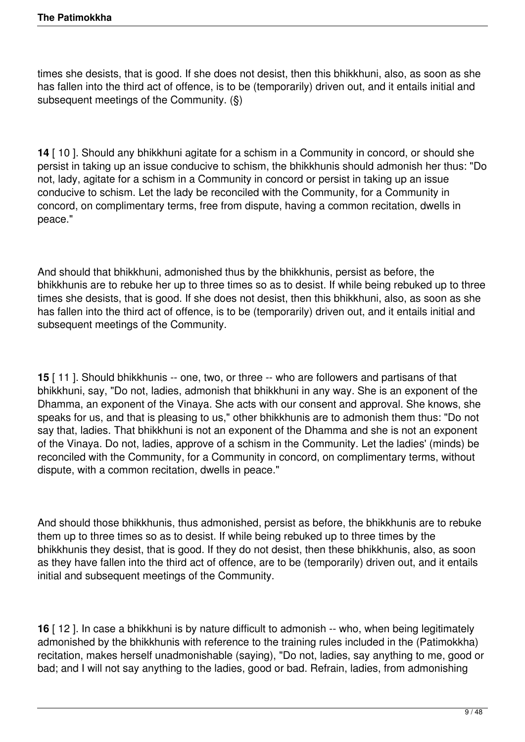times she desists, that is good. If she does not desist, then this bhikkhuni, also, as soon as she has fallen into the third act of offence, is to be (temporarily) driven out, and it entails initial and subsequent meetings of the Community. (§)

**14** [ 10 ]. Should any bhikkhuni agitate for a schism in a Community in concord, or should she persist in taking up an issue conducive to schism, the bhikkhunis should admonish her thus: "Do not, lady, agitate for a schism in a Community in concord or persist in taking up an issue conducive to schism. Let the lady be reconciled with the Community, for a Community in concord, on complimentary terms, free from dispute, having a common recitation, dwells in peace."

And should that bhikkhuni, admonished thus by the bhikkhunis, persist as before, the bhikkhunis are to rebuke her up to three times so as to desist. If while being rebuked up to three times she desists, that is good. If she does not desist, then this bhikkhuni, also, as soon as she has fallen into the third act of offence, is to be (temporarily) driven out, and it entails initial and subsequent meetings of the Community.

**15** [ 11 ]. Should bhikkhunis -- one, two, or three -- who are followers and partisans of that bhikkhuni, say, "Do not, ladies, admonish that bhikkhuni in any way. She is an exponent of the Dhamma, an exponent of the Vinaya. She acts with our consent and approval. She knows, she speaks for us, and that is pleasing to us," other bhikkhunis are to admonish them thus: "Do not say that, ladies. That bhikkhuni is not an exponent of the Dhamma and she is not an exponent of the Vinaya. Do not, ladies, approve of a schism in the Community. Let the ladies' (minds) be reconciled with the Community, for a Community in concord, on complimentary terms, without dispute, with a common recitation, dwells in peace."

And should those bhikkhunis, thus admonished, persist as before, the bhikkhunis are to rebuke them up to three times so as to desist. If while being rebuked up to three times by the bhikkhunis they desist, that is good. If they do not desist, then these bhikkhunis, also, as soon as they have fallen into the third act of offence, are to be (temporarily) driven out, and it entails initial and subsequent meetings of the Community.

**16** [ 12 ]. In case a bhikkhuni is by nature difficult to admonish -- who, when being legitimately admonished by the bhikkhunis with reference to the training rules included in the (Patimokkha) recitation, makes herself unadmonishable (saying), "Do not, ladies, say anything to me, good or bad; and I will not say anything to the ladies, good or bad. Refrain, ladies, from admonishing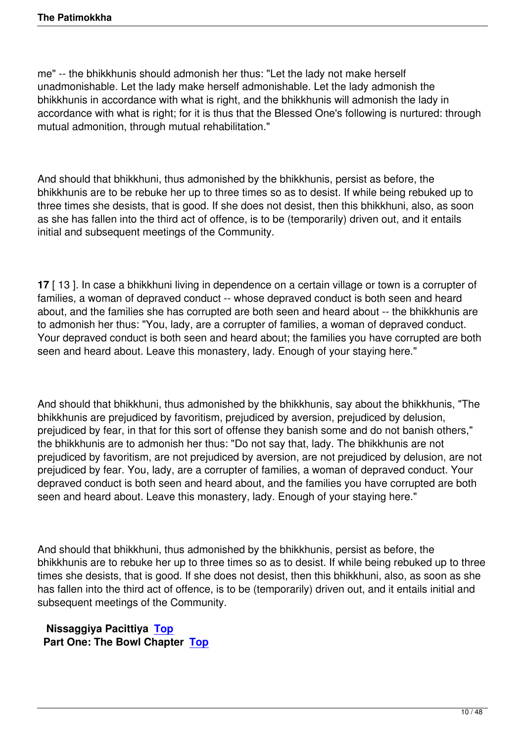me" -- the bhikkhunis should admonish her thus: "Let the lady not make herself unadmonishable. Let the lady make herself admonishable. Let the lady admonish the bhikkhunis in accordance with what is right, and the bhikkhunis will admonish the lady in accordance with what is right; for it is thus that the Blessed One's following is nurtured: through mutual admonition, through mutual rehabilitation."

And should that bhikkhuni, thus admonished by the bhikkhunis, persist as before, the bhikkhunis are to be rebuke her up to three times so as to desist. If while being rebuked up to three times she desists, that is good. If she does not desist, then this bhikkhuni, also, as soon as she has fallen into the third act of offence, is to be (temporarily) driven out, and it entails initial and subsequent meetings of the Community.

**17** [ 13 ]. In case a bhikkhuni living in dependence on a certain village or town is a corrupter of families, a woman of depraved conduct -- whose depraved conduct is both seen and heard about, and the families she has corrupted are both seen and heard about -- the bhikkhunis are to admonish her thus: "You, lady, are a corrupter of families, a woman of depraved conduct. Your depraved conduct is both seen and heard about; the families you have corrupted are both seen and heard about. Leave this monastery, lady. Enough of your staying here."

And should that bhikkhuni, thus admonished by the bhikkhunis, say about the bhikkhunis, "The bhikkhunis are prejudiced by favoritism, prejudiced by aversion, prejudiced by delusion, prejudiced by fear, in that for this sort of offense they banish some and do not banish others," the bhikkhunis are to admonish her thus: "Do not say that, lady. The bhikkhunis are not prejudiced by favoritism, are not prejudiced by aversion, are not prejudiced by delusion, are not prejudiced by fear. You, lady, are a corrupter of families, a woman of depraved conduct. Your depraved conduct is both seen and heard about, and the families you have corrupted are both seen and heard about. Leave this monastery, lady. Enough of your staying here."

And should that bhikkhuni, thus admonished by the bhikkhunis, persist as before, the bhikkhunis are to rebuke her up to three times so as to desist. If while being rebuked up to three times she desists, that is good. If she does not desist, then this bhikkhuni, also, as soon as she has fallen into the third act of offence, is to be (temporarily) driven out, and it entails initial and subsequent meetings of the Community.

 **Nissaggiya Pacittiya Top Part One: The Bowl Chapter Top**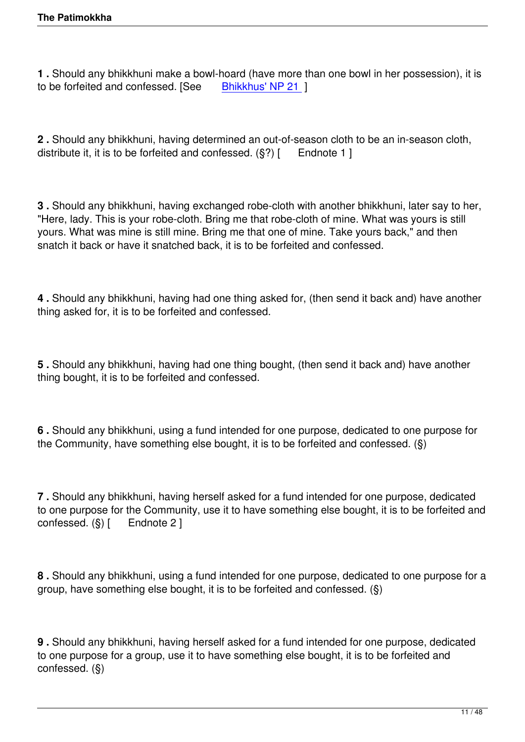**1 .** Should any bhikkhuni make a bowl-hoard (have more than one bowl in her possession), it is to be forfeited and confessed. [See Bhikkhus' NP 21 ]

**2 .** Should any bhikkhuni, having deter[mined an out-of-se](file:///d:/Backup/wwwroot/buddha/patimokkha2.htm#NP21)ason cloth to be an in-season cloth, distribute it, it is to be forfeited and confessed.  $(\S$ ?) [ Endnote 1 ]

**3 .** Should any bhikkhuni, having exchanged robe-cloth with another bhikkhuni, later say to her, "Here, lady. This is your robe-cloth. Bring me that robe-cloth of mine. What was yours is still yours. What was mine is still mine. Bring me that one of mine. Take yours back," and then snatch it back or have it snatched back, it is to be forfeited and confessed.

**4 .** Should any bhikkhuni, having had one thing asked for, (then send it back and) have another thing asked for, it is to be forfeited and confessed.

**5 .** Should any bhikkhuni, having had one thing bought, (then send it back and) have another thing bought, it is to be forfeited and confessed.

**6 .** Should any bhikkhuni, using a fund intended for one purpose, dedicated to one purpose for the Community, have something else bought, it is to be forfeited and confessed. (§)

**7 .** Should any bhikkhuni, having herself asked for a fund intended for one purpose, dedicated to one purpose for the Community, use it to have something else bought, it is to be forfeited and confessed. (§) [ Endnote 2 ]

**8 .** Should any bhikkhuni, using a fund intended for one purpose, dedicated to one purpose for a group, have something else bought, it is to be forfeited and confessed. (§)

**9 .** Should any bhikkhuni, having herself asked for a fund intended for one purpose, dedicated to one purpose for a group, use it to have something else bought, it is to be forfeited and confessed. (§)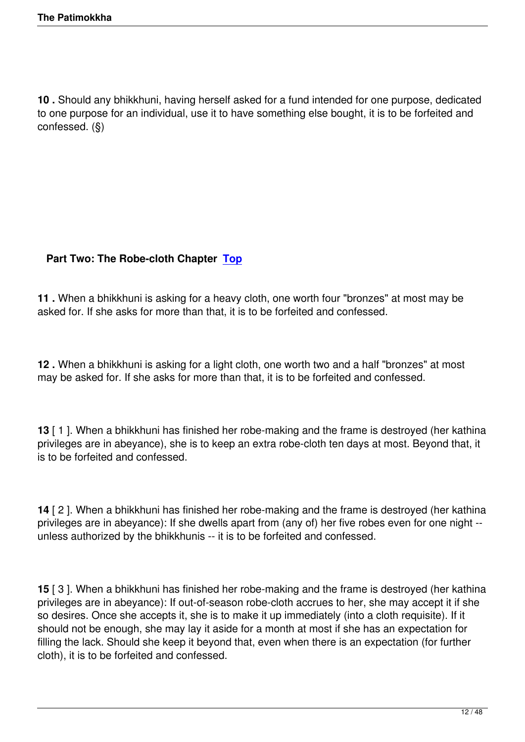**10 .** Should any bhikkhuni, having herself asked for a fund intended for one purpose, dedicated to one purpose for an individual, use it to have something else bought, it is to be forfeited and confessed. (§)

# **Part Two: The Robe-cloth Chapter Top**

**11 .** When a bhikkhuni is asking for a h[eavy](#toc) cloth, one worth four "bronzes" at most may be asked for. If she asks for more than that, it is to be forfeited and confessed.

**12 .** When a bhikkhuni is asking for a light cloth, one worth two and a half "bronzes" at most may be asked for. If she asks for more than that, it is to be forfeited and confessed.

**13** [ 1 ]. When a bhikkhuni has finished her robe-making and the frame is destroyed (her kathina privileges are in abeyance), she is to keep an extra robe-cloth ten days at most. Beyond that, it is to be forfeited and confessed.

**14** [ 2 ]. When a bhikkhuni has finished her robe-making and the frame is destroyed (her kathina privileges are in abeyance): If she dwells apart from (any of) her five robes even for one night - unless authorized by the bhikkhunis -- it is to be forfeited and confessed.

**15** [ 3 ]. When a bhikkhuni has finished her robe-making and the frame is destroyed (her kathina privileges are in abeyance): If out-of-season robe-cloth accrues to her, she may accept it if she so desires. Once she accepts it, she is to make it up immediately (into a cloth requisite). If it should not be enough, she may lay it aside for a month at most if she has an expectation for filling the lack. Should she keep it beyond that, even when there is an expectation (for further cloth), it is to be forfeited and confessed.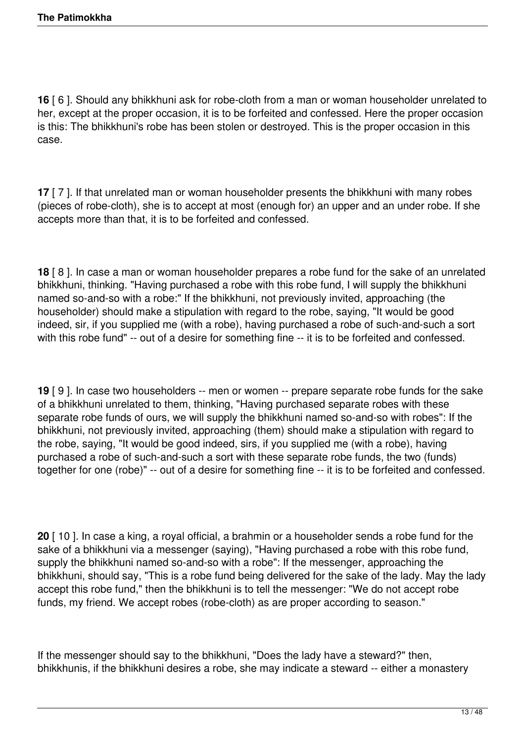**16** [ 6 ]. Should any bhikkhuni ask for robe-cloth from a man or woman householder unrelated to her, except at the proper occasion, it is to be forfeited and confessed. Here the proper occasion is this: The bhikkhuni's robe has been stolen or destroyed. This is the proper occasion in this case.

**17** [ 7 ]. If that unrelated man or woman householder presents the bhikkhuni with many robes (pieces of robe-cloth), she is to accept at most (enough for) an upper and an under robe. If she accepts more than that, it is to be forfeited and confessed.

**18** [ 8 ]. In case a man or woman householder prepares a robe fund for the sake of an unrelated bhikkhuni, thinking. "Having purchased a robe with this robe fund, I will supply the bhikkhuni named so-and-so with a robe:" If the bhikkhuni, not previously invited, approaching (the householder) should make a stipulation with regard to the robe, saying, "It would be good indeed, sir, if you supplied me (with a robe), having purchased a robe of such-and-such a sort with this robe fund" -- out of a desire for something fine -- it is to be forfeited and confessed.

**19** [ 9 ]. In case two householders -- men or women -- prepare separate robe funds for the sake of a bhikkhuni unrelated to them, thinking, "Having purchased separate robes with these separate robe funds of ours, we will supply the bhikkhuni named so-and-so with robes": If the bhikkhuni, not previously invited, approaching (them) should make a stipulation with regard to the robe, saying, "It would be good indeed, sirs, if you supplied me (with a robe), having purchased a robe of such-and-such a sort with these separate robe funds, the two (funds) together for one (robe)" -- out of a desire for something fine -- it is to be forfeited and confessed.

**20** [ 10 ]. In case a king, a royal official, a brahmin or a householder sends a robe fund for the sake of a bhikkhuni via a messenger (saying), "Having purchased a robe with this robe fund, supply the bhikkhuni named so-and-so with a robe": If the messenger, approaching the bhikkhuni, should say, "This is a robe fund being delivered for the sake of the lady. May the lady accept this robe fund," then the bhikkhuni is to tell the messenger: "We do not accept robe funds, my friend. We accept robes (robe-cloth) as are proper according to season."

If the messenger should say to the bhikkhuni, "Does the lady have a steward?" then, bhikkhunis, if the bhikkhuni desires a robe, she may indicate a steward -- either a monastery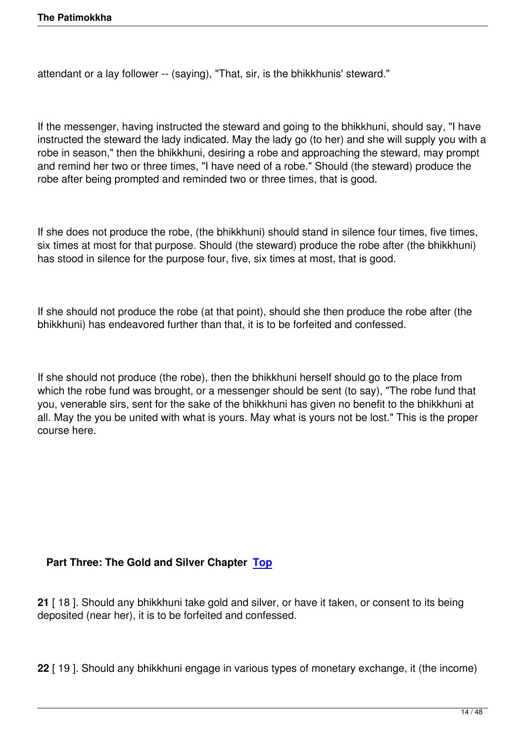attendant or a lay follower -- (saying), "That, sir, is the bhikkhunis' steward."

If the messenger, having instructed the steward and going to the bhikkhuni, should say, "I have instructed the steward the lady indicated. May the lady go (to her) and she will supply you with a robe in season," then the bhikkhuni, desiring a robe and approaching the steward, may prompt and remind her two or three times, "I have need of a robe." Should (the steward) produce the robe after being prompted and reminded two or three times, that is good.

If she does not produce the robe, (the bhikkhuni) should stand in silence four times, five times, six times at most for that purpose. Should (the steward) produce the robe after (the bhikkhuni) has stood in silence for the purpose four, five, six times at most, that is good.

If she should not produce the robe (at that point), should she then produce the robe after (the bhikkhuni) has endeavored further than that, it is to be forfeited and confessed.

If she should not produce (the robe), then the bhikkhuni herself should go to the place from which the robe fund was brought, or a messenger should be sent (to say), "The robe fund that you, venerable sirs, sent for the sake of the bhikkhuni has given no benefit to the bhikkhuni at all. May the you be united with what is yours. May what is yours not be lost." This is the proper course here.

## **Part Three: The Gold and Silver Chapter Top**

**21** [ 18 ]. Should any bhikkhuni take gold and [silve](#toc)r, or have it taken, or consent to its being deposited (near her), it is to be forfeited and confessed.

**22** [ 19 ]. Should any bhikkhuni engage in various types of monetary exchange, it (the income)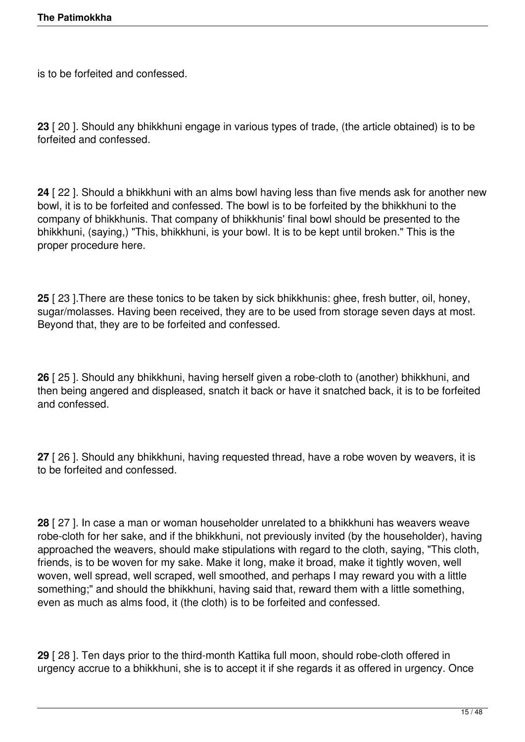is to be forfeited and confessed.

**23** [ 20 ]. Should any bhikkhuni engage in various types of trade, (the article obtained) is to be forfeited and confessed.

**24** [ 22 ]. Should a bhikkhuni with an alms bowl having less than five mends ask for another new bowl, it is to be forfeited and confessed. The bowl is to be forfeited by the bhikkhuni to the company of bhikkhunis. That company of bhikkhunis' final bowl should be presented to the bhikkhuni, (saying,) "This, bhikkhuni, is your bowl. It is to be kept until broken." This is the proper procedure here.

**25** [ 23 ].There are these tonics to be taken by sick bhikkhunis: ghee, fresh butter, oil, honey, sugar/molasses. Having been received, they are to be used from storage seven days at most. Beyond that, they are to be forfeited and confessed.

**26** [ 25 ]. Should any bhikkhuni, having herself given a robe-cloth to (another) bhikkhuni, and then being angered and displeased, snatch it back or have it snatched back, it is to be forfeited and confessed.

**27** [ 26 ]. Should any bhikkhuni, having requested thread, have a robe woven by weavers, it is to be forfeited and confessed.

**28** [ 27 ]. In case a man or woman householder unrelated to a bhikkhuni has weavers weave robe-cloth for her sake, and if the bhikkhuni, not previously invited (by the householder), having approached the weavers, should make stipulations with regard to the cloth, saying, "This cloth, friends, is to be woven for my sake. Make it long, make it broad, make it tightly woven, well woven, well spread, well scraped, well smoothed, and perhaps I may reward you with a little something;" and should the bhikkhuni, having said that, reward them with a little something, even as much as alms food, it (the cloth) is to be forfeited and confessed.

**29** [ 28 ]. Ten days prior to the third-month Kattika full moon, should robe-cloth offered in urgency accrue to a bhikkhuni, she is to accept it if she regards it as offered in urgency. Once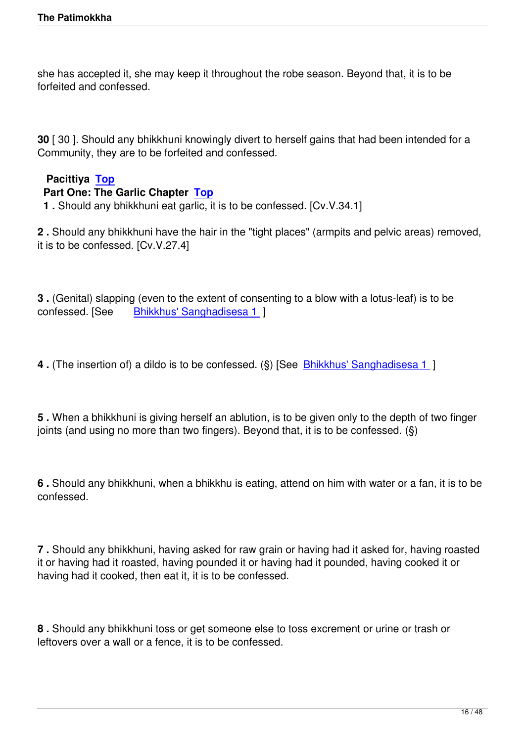she has accepted it, she may keep it throughout the robe season. Beyond that, it is to be forfeited and confessed.

**30** [ 30 ]. Should any bhikkhuni knowingly divert to herself gains that had been intended for a Community, they are to be forfeited and confessed.

## **Pacittiya Top**

#### **Part One: The Garlic Chapter Top**

**1 .** Should any bhikkhuni eat garlic, it is to be confessed. [Cv.V.34.1]

**2 .** Should a[ny bh](#toc)ikkhuni have th[e hair](#toc) in the "tight places" (armpits and pelvic areas) removed, it is to be confessed. [Cv.V.27.4]

**3 .** (Genital) slapping (even to the extent of consenting to a blow with a lotus-leaf) is to be confessed. [See Bhikkhus' Sanghadisesa 1 ]

**4 .** (The insertion of) [a dildo is to be confessed.](file:///d:/Backup/wwwroot/buddha/patimokkha2.htm#Sg1) (§) [See Bhikkhus' Sanghadisesa 1 ]

**5 .** When a bhikkhuni is giving herself an ablution, is to b[e given only to the depth of](file:///d:/Backup/wwwroot/buddha/patimokkha2.htm#Sg1) two finger joints (and using no more than two fingers). Beyond that, it is to be confessed.  $(\S)$ 

**6 .** Should any bhikkhuni, when a bhikkhu is eating, attend on him with water or a fan, it is to be confessed.

**7 .** Should any bhikkhuni, having asked for raw grain or having had it asked for, having roasted it or having had it roasted, having pounded it or having had it pounded, having cooked it or having had it cooked, then eat it, it is to be confessed.

**8 .** Should any bhikkhuni toss or get someone else to toss excrement or urine or trash or leftovers over a wall or a fence, it is to be confessed.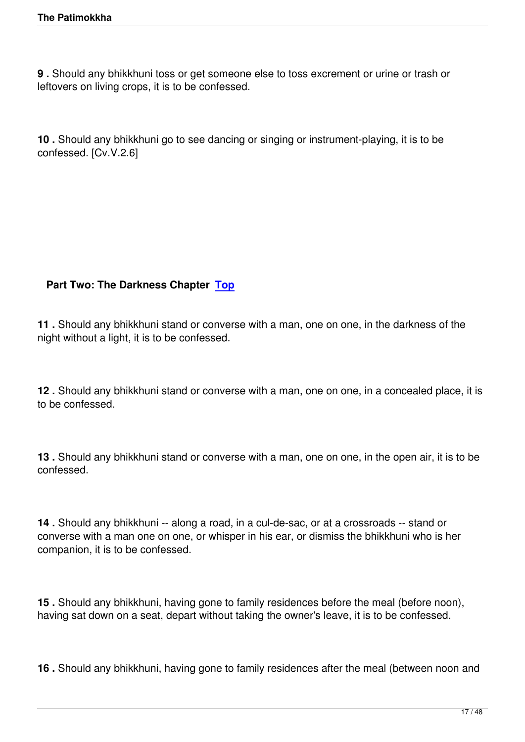**9 .** Should any bhikkhuni toss or get someone else to toss excrement or urine or trash or leftovers on living crops, it is to be confessed.

**10 .** Should any bhikkhuni go to see dancing or singing or instrument-playing, it is to be confessed. [Cv.V.2.6]

# **Part Two: The Darkness Chapter Top**

**11 .** Should any bhikkhuni stand or co[nvers](#toc)e with a man, one on one, in the darkness of the night without a light, it is to be confessed.

**12 .** Should any bhikkhuni stand or converse with a man, one on one, in a concealed place, it is to be confessed.

**13 .** Should any bhikkhuni stand or converse with a man, one on one, in the open air, it is to be confessed.

**14 .** Should any bhikkhuni -- along a road, in a cul-de-sac, or at a crossroads -- stand or converse with a man one on one, or whisper in his ear, or dismiss the bhikkhuni who is her companion, it is to be confessed.

**15 .** Should any bhikkhuni, having gone to family residences before the meal (before noon), having sat down on a seat, depart without taking the owner's leave, it is to be confessed.

**16 .** Should any bhikkhuni, having gone to family residences after the meal (between noon and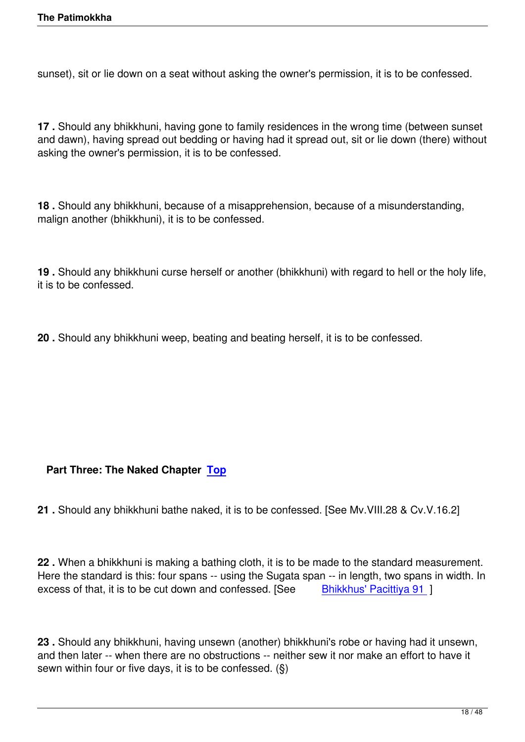sunset), sit or lie down on a seat without asking the owner's permission, it is to be confessed.

**17 .** Should any bhikkhuni, having gone to family residences in the wrong time (between sunset and dawn), having spread out bedding or having had it spread out, sit or lie down (there) without asking the owner's permission, it is to be confessed.

**18 .** Should any bhikkhuni, because of a misapprehension, because of a misunderstanding, malign another (bhikkhuni), it is to be confessed.

**19 .** Should any bhikkhuni curse herself or another (bhikkhuni) with regard to hell or the holy life, it is to be confessed.

**20 .** Should any bhikkhuni weep, beating and beating herself, it is to be confessed.

## **Part Three: The Naked Chapter Top**

**21 .** Should any bhikkhuni bathe na[ked, i](#toc)t is to be confessed. [See Mv.VIII.28 & Cv.V.16.2]

**22 .** When a bhikkhuni is making a bathing cloth, it is to be made to the standard measurement. Here the standard is this: four spans -- using the Sugata span -- in length, two spans in width. In excess of that, it is to be cut down and confessed. [See Bhikkhus' Pacittiya 91 ]

**23 .** Should any bhikkhuni, having unsewn (another) bhikkhu[ni's robe or having had](file:///d:/Backup/wwwroot/buddha/patimokkha2.htm#Pc91) it unsewn, and then later -- when there are no obstructions -- neither sew it nor make an effort to have it sewn within four or five days, it is to be confessed. (§)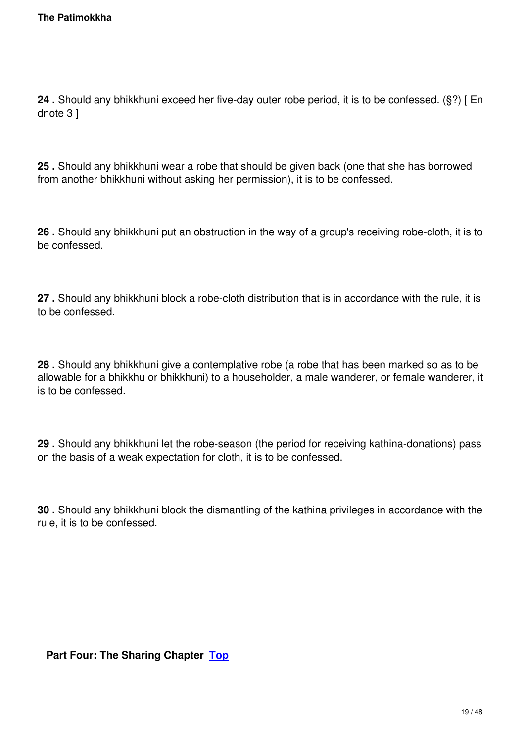**24 .** Should any bhikkhuni exceed her five-day outer robe period, it is to be confessed. (§?) [ En dnote 3 ]

**25 .** Should any bhikkhuni wear a robe that should be given back (one that she has borrowed from another bhikkhuni without asking her permission), it is to be confessed.

**26 .** Should any bhikkhuni put an obstruction in the way of a group's receiving robe-cloth, it is to be confessed.

**27 .** Should any bhikkhuni block a robe-cloth distribution that is in accordance with the rule, it is to be confessed.

**28 .** Should any bhikkhuni give a contemplative robe (a robe that has been marked so as to be allowable for a bhikkhu or bhikkhuni) to a householder, a male wanderer, or female wanderer, it is to be confessed.

**29 .** Should any bhikkhuni let the robe-season (the period for receiving kathina-donations) pass on the basis of a weak expectation for cloth, it is to be confessed.

**30 .** Should any bhikkhuni block the dismantling of the kathina privileges in accordance with the rule, it is to be confessed.

**Part Four: The Sharing Chapter Top**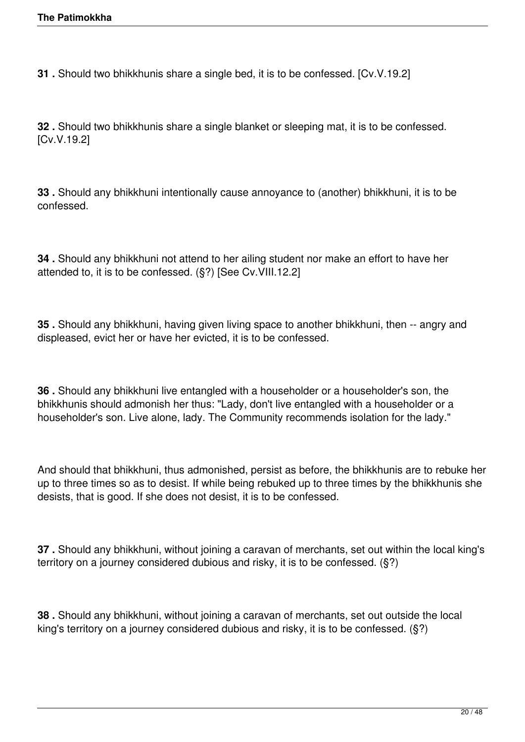**31 .** Should two bhikkhunis share a single bed, it is to be confessed. [Cv.V.19.2]

**32 .** Should two bhikkhunis share a single blanket or sleeping mat, it is to be confessed. [Cv.V.19.2]

**33 .** Should any bhikkhuni intentionally cause annoyance to (another) bhikkhuni, it is to be confessed.

**34 .** Should any bhikkhuni not attend to her ailing student nor make an effort to have her attended to, it is to be confessed. (§?) [See Cv.VIII.12.2]

**35 .** Should any bhikkhuni, having given living space to another bhikkhuni, then -- angry and displeased, evict her or have her evicted, it is to be confessed.

**36 .** Should any bhikkhuni live entangled with a householder or a householder's son, the bhikkhunis should admonish her thus: "Lady, don't live entangled with a householder or a householder's son. Live alone, lady. The Community recommends isolation for the lady."

And should that bhikkhuni, thus admonished, persist as before, the bhikkhunis are to rebuke her up to three times so as to desist. If while being rebuked up to three times by the bhikkhunis she desists, that is good. If she does not desist, it is to be confessed.

**37 .** Should any bhikkhuni, without joining a caravan of merchants, set out within the local king's territory on a journey considered dubious and risky, it is to be confessed. (§?)

**38 .** Should any bhikkhuni, without joining a caravan of merchants, set out outside the local king's territory on a journey considered dubious and risky, it is to be confessed. (§?)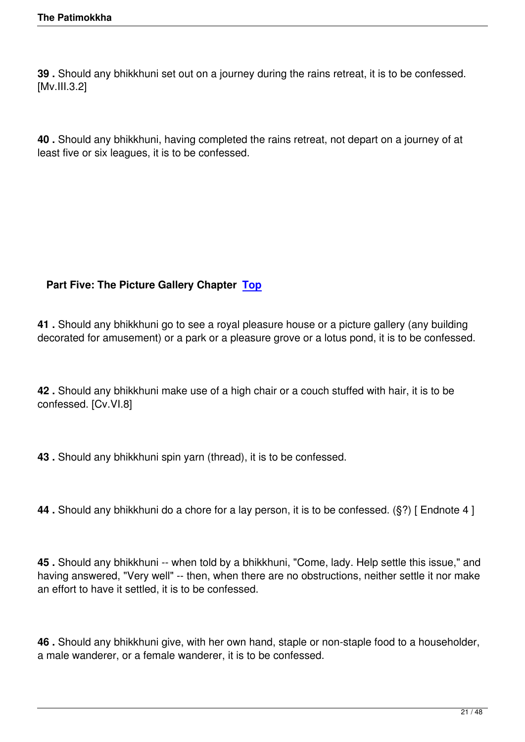**39 .** Should any bhikkhuni set out on a journey during the rains retreat, it is to be confessed. [Mv.III.3.2]

**40 .** Should any bhikkhuni, having completed the rains retreat, not depart on a journey of at least five or six leagues, it is to be confessed.

## **Part Five: The Picture Gallery Chapter Top**

**41 .** Should any bhikkhuni go to see a royal [plea](#toc)sure house or a picture gallery (any building decorated for amusement) or a park or a pleasure grove or a lotus pond, it is to be confessed.

**42 .** Should any bhikkhuni make use of a high chair or a couch stuffed with hair, it is to be confessed. [Cv.VI.8]

**43 .** Should any bhikkhuni spin yarn (thread), it is to be confessed.

**44 .** Should any bhikkhuni do a chore for a lay person, it is to be confessed. (§?) [ Endnote 4 ]

**45 .** Should any bhikkhuni -- when told by a bhikkhuni, "Come, lady. Help settle this issue," and having answered, "Very well" -- then, when there are no obstructions, neither settle it nor make an effort to have it settled, it is to be confessed.

**46 .** Should any bhikkhuni give, with her own hand, staple or non-staple food to a householder, a male wanderer, or a female wanderer, it is to be confessed.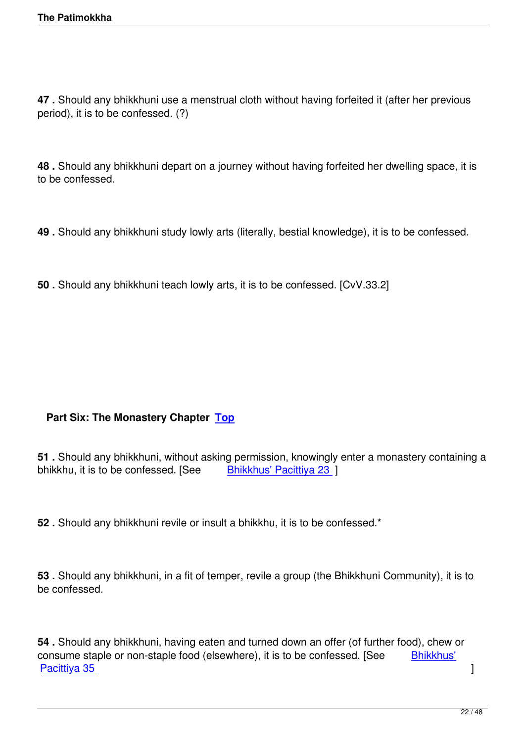**47 .** Should any bhikkhuni use a menstrual cloth without having forfeited it (after her previous period), it is to be confessed. (?)

**48 .** Should any bhikkhuni depart on a journey without having forfeited her dwelling space, it is to be confessed.

**49 .** Should any bhikkhuni study lowly arts (literally, bestial knowledge), it is to be confessed.

**50 .** Should any bhikkhuni teach lowly arts, it is to be confessed. [CvV.33.2]

# **Part Six: The Monastery Chapter Top**

**51 .** Should any bhikkhuni, without as[king p](#toc)ermission, knowingly enter a monastery containing a bhikkhu, it is to be confessed. [See Bhikkhus' Pacittiya 23 ]

**52 .** Should any bhikkhuni revile or insul[t a bhikkhu, it is to be co](file:///d:/Backup/wwwroot/buddha/patimokkha2.htm#Pc23)nfessed.\*

**53 .** Should any bhikkhuni, in a fit of temper, revile a group (the Bhikkhuni Community), it is to be confessed.

**54 .** Should any bhikkhuni, having eaten and turned down an offer (of further food), chew or consume staple or non-staple food (elsewhere), it is to be confessed. [See Bhikkhus' Pacittiya 35 **December 2018 Pacitive 35**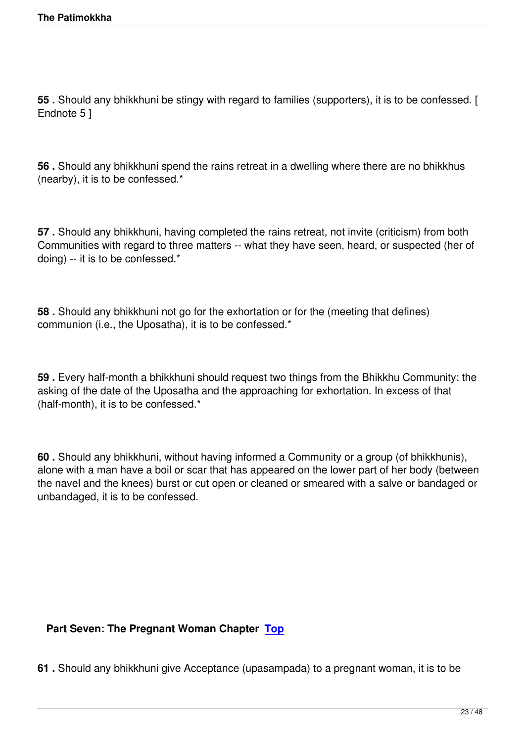**55 .** Should any bhikkhuni be stingy with regard to families (supporters), it is to be confessed. [ Endnote 5 ]

**56 .** Should any bhikkhuni spend the rains retreat in a dwelling where there are no bhikkhus (nearby), it is to be confessed.\*

**57 .** Should any bhikkhuni, having completed the rains retreat, not invite (criticism) from both Communities with regard to three matters -- what they have seen, heard, or suspected (her of doing) -- it is to be confessed.\*

**58 .** Should any bhikkhuni not go for the exhortation or for the (meeting that defines) communion (i.e., the Uposatha), it is to be confessed.\*

**59 .** Every half-month a bhikkhuni should request two things from the Bhikkhu Community: the asking of the date of the Uposatha and the approaching for exhortation. In excess of that (half-month), it is to be confessed.\*

**60 .** Should any bhikkhuni, without having informed a Community or a group (of bhikkhunis), alone with a man have a boil or scar that has appeared on the lower part of her body (between the navel and the knees) burst or cut open or cleaned or smeared with a salve or bandaged or unbandaged, it is to be confessed.

#### **Part Seven: The Pregnant Woman Chapter Top**

**61 .** Should any bhikkhuni give Acceptance (upa[samp](#toc)ada) to a pregnant woman, it is to be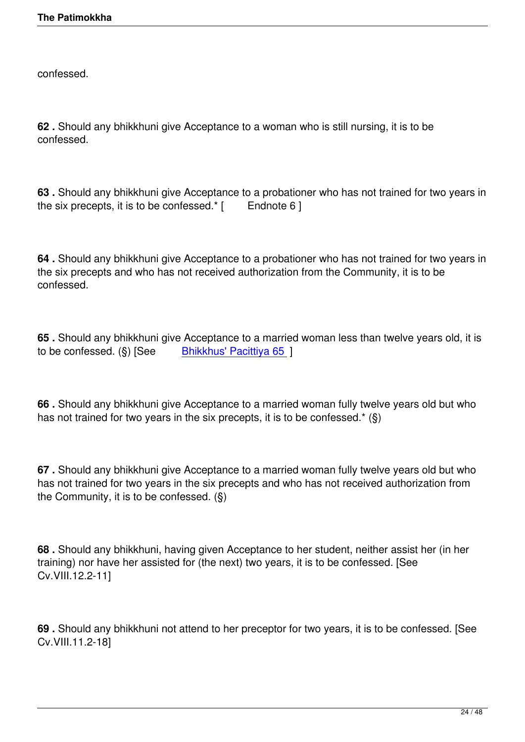**62 .** Should any bhikkhuni give Acceptance to a woman who is still nursing, it is to be confessed.

**63 .** Should any bhikkhuni give Acceptance to a probationer who has not trained for two years in the six precepts, it is to be confessed. $*$  [ Endnote 6 ]

**64 .** Should any bhikkhuni give Acceptance to a probationer who has not trained for two years in the six precepts and who has not received authorization from the Community, it is to be confessed.

**65 .** Should any bhikkhuni give Acceptance to a married woman less than twelve years old, it is to be confessed. (§) [See Bhikkhus' Pacittiya 65 ]

**66 .** Should any bhikkhuni give [Acceptance to a marrie](file:///d:/Backup/wwwroot/buddha/patimokkha2.htm#Pc65)d woman fully twelve years old but who has not trained for two years in the six precepts, it is to be confessed.\*  $(\S)$ 

**67 .** Should any bhikkhuni give Acceptance to a married woman fully twelve years old but who has not trained for two years in the six precepts and who has not received authorization from the Community, it is to be confessed. (§)

**68 .** Should any bhikkhuni, having given Acceptance to her student, neither assist her (in her training) nor have her assisted for (the next) two years, it is to be confessed. [See Cv.VIII.12.2-11]

**69 .** Should any bhikkhuni not attend to her preceptor for two years, it is to be confessed. [See Cv.VIII.11.2-18]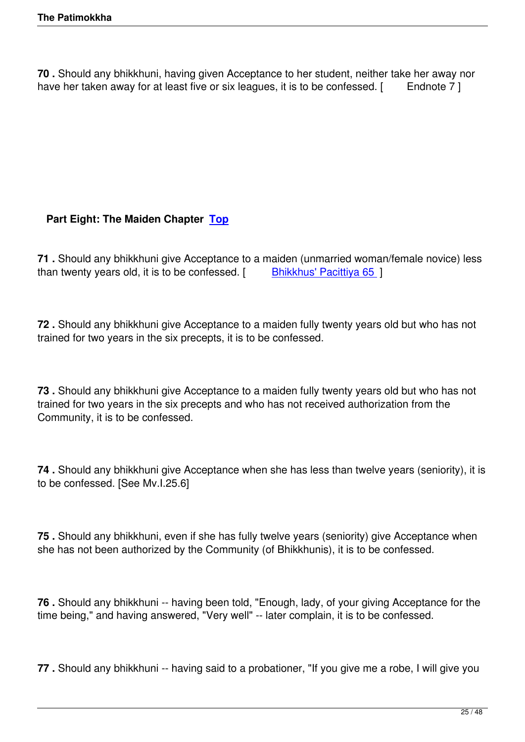**70 .** Should any bhikkhuni, having given Acceptance to her student, neither take her away nor have her taken away for at least five or six leagues, it is to be confessed. [ Findnote 7]

# **Part Eight: The Maiden Chapter Top**

**71 .** Should any bhikkhuni give Acce[ptanc](#toc)e to a maiden (unmarried woman/female novice) less than twenty years old, it is to be confessed.  $[$  Bhikkhus' Pacittiya 65 ]

**72 .** Should any bhikkhuni give Acceptance to a m[aiden fully twenty years](file:///d:/Backup/wwwroot/buddha/patimokkha2.htm#Pc65) old but who has not trained for two years in the six precepts, it is to be confessed.

**73 .** Should any bhikkhuni give Acceptance to a maiden fully twenty years old but who has not trained for two years in the six precepts and who has not received authorization from the Community, it is to be confessed.

**74 .** Should any bhikkhuni give Acceptance when she has less than twelve years (seniority), it is to be confessed. [See Mv.I.25.6]

**75 .** Should any bhikkhuni, even if she has fully twelve years (seniority) give Acceptance when she has not been authorized by the Community (of Bhikkhunis), it is to be confessed.

**76 .** Should any bhikkhuni -- having been told, "Enough, lady, of your giving Acceptance for the time being," and having answered, "Very well" -- later complain, it is to be confessed.

**77 .** Should any bhikkhuni -- having said to a probationer, "If you give me a robe, I will give you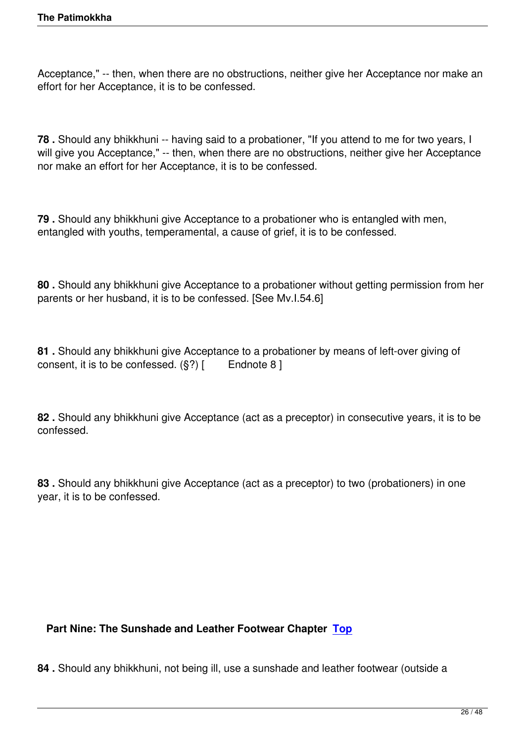Acceptance," -- then, when there are no obstructions, neither give her Acceptance nor make an effort for her Acceptance, it is to be confessed.

**78 .** Should any bhikkhuni -- having said to a probationer, "If you attend to me for two years, I will give you Acceptance," -- then, when there are no obstructions, neither give her Acceptance nor make an effort for her Acceptance, it is to be confessed.

**79 .** Should any bhikkhuni give Acceptance to a probationer who is entangled with men, entangled with youths, temperamental, a cause of grief, it is to be confessed.

**80 .** Should any bhikkhuni give Acceptance to a probationer without getting permission from her parents or her husband, it is to be confessed. [See Mv.I.54.6]

**81 .** Should any bhikkhuni give Acceptance to a probationer by means of left-over giving of consent, it is to be confessed.  $(S?)$  [ Endnote 8 ]

**82 .** Should any bhikkhuni give Acceptance (act as a preceptor) in consecutive years, it is to be confessed.

**83 .** Should any bhikkhuni give Acceptance (act as a preceptor) to two (probationers) in one year, it is to be confessed.

#### **Part Nine: The Sunshade and Leather Footwear Chapter Top**

**84 .** Should any bhikkhuni, not being ill, use a sunshade and le[ather](#toc) footwear (outside a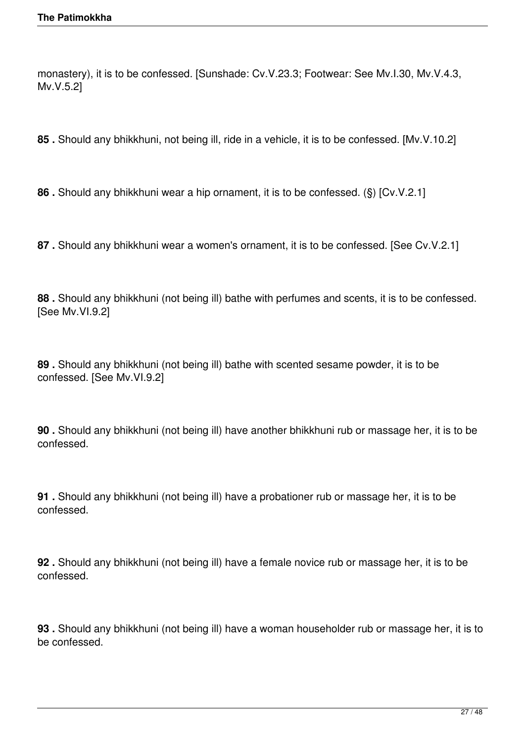monastery), it is to be confessed. [Sunshade: Cv.V.23.3; Footwear: See Mv.I.30, Mv.V.4.3, Mv.V.5.2]

**85 .** Should any bhikkhuni, not being ill, ride in a vehicle, it is to be confessed. [Mv.V.10.2]

**86 .** Should any bhikkhuni wear a hip ornament, it is to be confessed. (§) [Cv.V.2.1]

**87 .** Should any bhikkhuni wear a women's ornament, it is to be confessed. [See Cv.V.2.1]

**88 .** Should any bhikkhuni (not being ill) bathe with perfumes and scents, it is to be confessed. [See Mv.VI.9.2]

**89 .** Should any bhikkhuni (not being ill) bathe with scented sesame powder, it is to be confessed. [See Mv.VI.9.2]

**90 .** Should any bhikkhuni (not being ill) have another bhikkhuni rub or massage her, it is to be confessed.

**91 .** Should any bhikkhuni (not being ill) have a probationer rub or massage her, it is to be confessed.

**92 .** Should any bhikkhuni (not being ill) have a female novice rub or massage her, it is to be confessed.

**93 .** Should any bhikkhuni (not being ill) have a woman householder rub or massage her, it is to be confessed.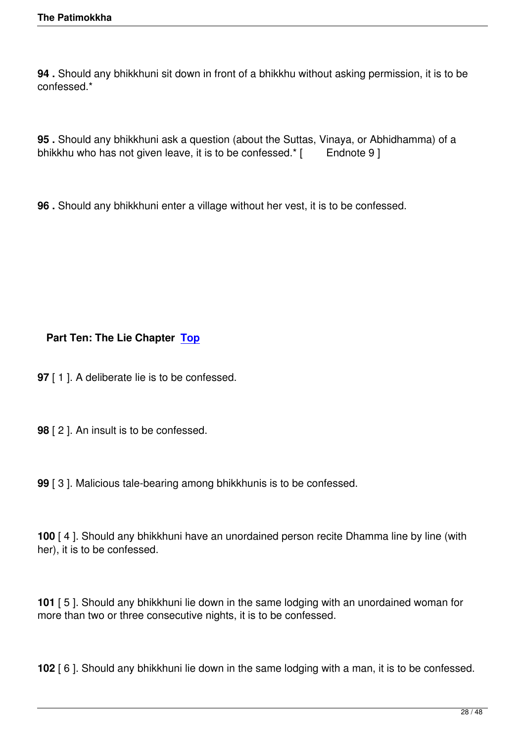**94 .** Should any bhikkhuni sit down in front of a bhikkhu without asking permission, it is to be confessed.\*

**95 .** Should any bhikkhuni ask a question (about the Suttas, Vinaya, or Abhidhamma) of a bhikkhu who has not given leave, it is to be confessed.\* [ Findnote 9 ]

**96 .** Should any bhikkhuni enter a village without her vest, it is to be confessed.

**Part Ten: The Lie Chapter Top**

**97** [ 1 ]. A deliberate lie is to b[e con](#toc)fessed.

**98** [ 2 ]. An insult is to be confessed.

**99** [ 3 ]. Malicious tale-bearing among bhikkhunis is to be confessed.

**100** [ 4 ]. Should any bhikkhuni have an unordained person recite Dhamma line by line (with her), it is to be confessed.

**101** [ 5 ]. Should any bhikkhuni lie down in the same lodging with an unordained woman for more than two or three consecutive nights, it is to be confessed.

**102** [ 6 ]. Should any bhikkhuni lie down in the same lodging with a man, it is to be confessed.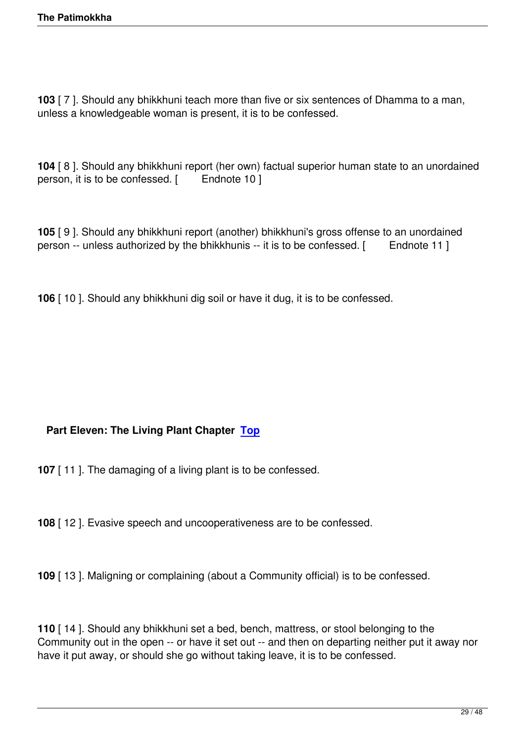**103** [ 7 ]. Should any bhikkhuni teach more than five or six sentences of Dhamma to a man, unless a knowledgeable woman is present, it is to be confessed.

**104** [ 8 ]. Should any bhikkhuni report (her own) factual superior human state to an unordained person, it is to be confessed. [ Endnote 10 ]

**105** [ 9 ]. Should any bhikkhuni report (another) bhikkhuni's gross offense to an unordained person -- unless authorized by the bhikkhunis -- it is to be confessed. [ Findnote 11 ]

**106** [ 10 ]. Should any bhikkhuni dig soil or have it dug, it is to be confessed.

## **Part Eleven: The Living Plant Chapter Top**

**107** [ 11 ]. The damaging of a living plant is [to be](#toc) confessed.

**108** [ 12 ]. Evasive speech and uncooperativeness are to be confessed.

**109** [ 13 ]. Maligning or complaining (about a Community official) is to be confessed.

**110** [ 14 ]. Should any bhikkhuni set a bed, bench, mattress, or stool belonging to the Community out in the open -- or have it set out -- and then on departing neither put it away nor have it put away, or should she go without taking leave, it is to be confessed.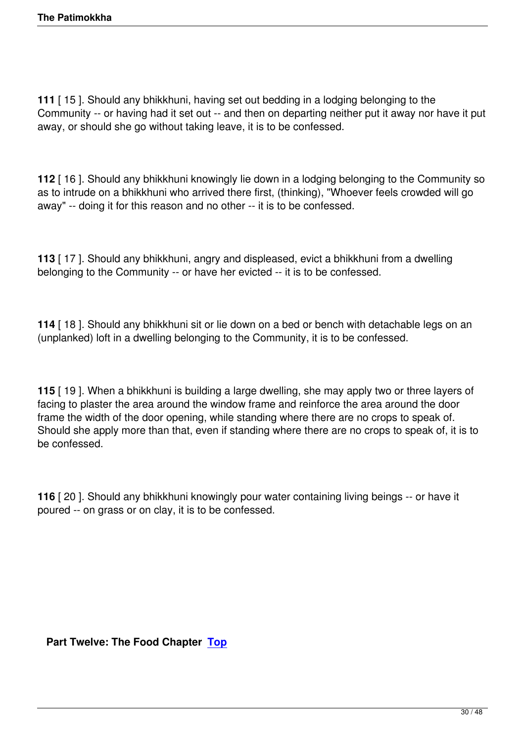**111** [ 15 ]. Should any bhikkhuni, having set out bedding in a lodging belonging to the Community -- or having had it set out -- and then on departing neither put it away nor have it put away, or should she go without taking leave, it is to be confessed.

**112** [ 16 ]. Should any bhikkhuni knowingly lie down in a lodging belonging to the Community so as to intrude on a bhikkhuni who arrived there first, (thinking), "Whoever feels crowded will go away" -- doing it for this reason and no other -- it is to be confessed.

**113** [ 17 ]. Should any bhikkhuni, angry and displeased, evict a bhikkhuni from a dwelling belonging to the Community -- or have her evicted -- it is to be confessed.

**114** [ 18 ]. Should any bhikkhuni sit or lie down on a bed or bench with detachable legs on an (unplanked) loft in a dwelling belonging to the Community, it is to be confessed.

**115** [ 19 ]. When a bhikkhuni is building a large dwelling, she may apply two or three layers of facing to plaster the area around the window frame and reinforce the area around the door frame the width of the door opening, while standing where there are no crops to speak of. Should she apply more than that, even if standing where there are no crops to speak of, it is to be confessed.

**116** [ 20 ]. Should any bhikkhuni knowingly pour water containing living beings -- or have it poured -- on grass or on clay, it is to be confessed.

**Part Twelve: The Food Chapter Top**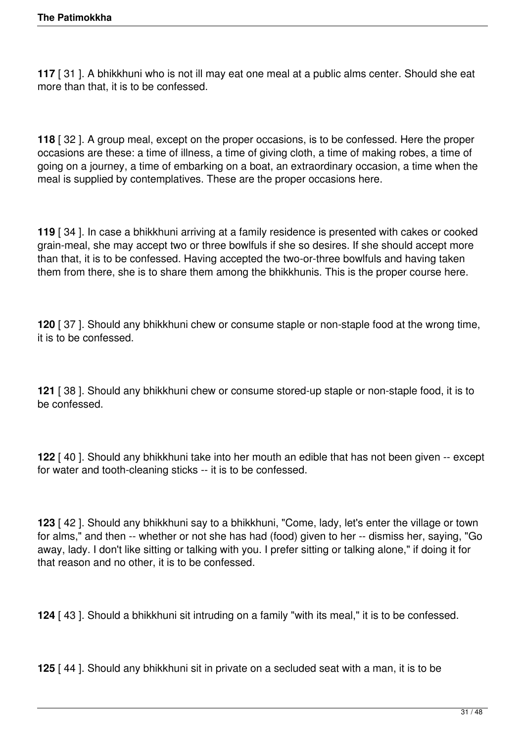**117** [ 31 ]. A bhikkhuni who is not ill may eat one meal at a public alms center. Should she eat more than that, it is to be confessed.

**118** [ 32 ]. A group meal, except on the proper occasions, is to be confessed. Here the proper occasions are these: a time of illness, a time of giving cloth, a time of making robes, a time of going on a journey, a time of embarking on a boat, an extraordinary occasion, a time when the meal is supplied by contemplatives. These are the proper occasions here.

**119** [ 34 ]. In case a bhikkhuni arriving at a family residence is presented with cakes or cooked grain-meal, she may accept two or three bowlfuls if she so desires. If she should accept more than that, it is to be confessed. Having accepted the two-or-three bowlfuls and having taken them from there, she is to share them among the bhikkhunis. This is the proper course here.

**120** [ 37 ]. Should any bhikkhuni chew or consume staple or non-staple food at the wrong time, it is to be confessed.

**121** [ 38 ]. Should any bhikkhuni chew or consume stored-up staple or non-staple food, it is to be confessed.

**122** [ 40 ]. Should any bhikkhuni take into her mouth an edible that has not been given -- except for water and tooth-cleaning sticks -- it is to be confessed.

**123** [ 42 ]. Should any bhikkhuni say to a bhikkhuni, "Come, lady, let's enter the village or town for alms," and then -- whether or not she has had (food) given to her -- dismiss her, saying, "Go away, lady. I don't like sitting or talking with you. I prefer sitting or talking alone," if doing it for that reason and no other, it is to be confessed.

**124** [ 43 ]. Should a bhikkhuni sit intruding on a family "with its meal," it is to be confessed.

**125** [ 44 ]. Should any bhikkhuni sit in private on a secluded seat with a man, it is to be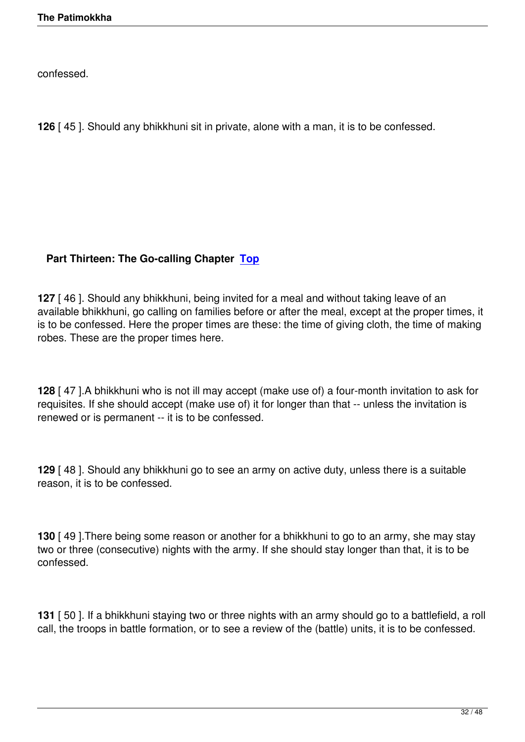**126** [ 45 ]. Should any bhikkhuni sit in private, alone with a man, it is to be confessed.

## **Part Thirteen: The Go-calling Chapter Top**

**127** [ 46 ]. Should any bhikkhuni, being invi[ted f](#toc)or a meal and without taking leave of an available bhikkhuni, go calling on families before or after the meal, except at the proper times, it is to be confessed. Here the proper times are these: the time of giving cloth, the time of making robes. These are the proper times here.

**128** [ 47 ].A bhikkhuni who is not ill may accept (make use of) a four-month invitation to ask for requisites. If she should accept (make use of) it for longer than that -- unless the invitation is renewed or is permanent -- it is to be confessed.

**129** [ 48 ]. Should any bhikkhuni go to see an army on active duty, unless there is a suitable reason, it is to be confessed.

**130** [ 49 ].There being some reason or another for a bhikkhuni to go to an army, she may stay two or three (consecutive) nights with the army. If she should stay longer than that, it is to be confessed.

**131** [ 50 ]. If a bhikkhuni staying two or three nights with an army should go to a battlefield, a roll call, the troops in battle formation, or to see a review of the (battle) units, it is to be confessed.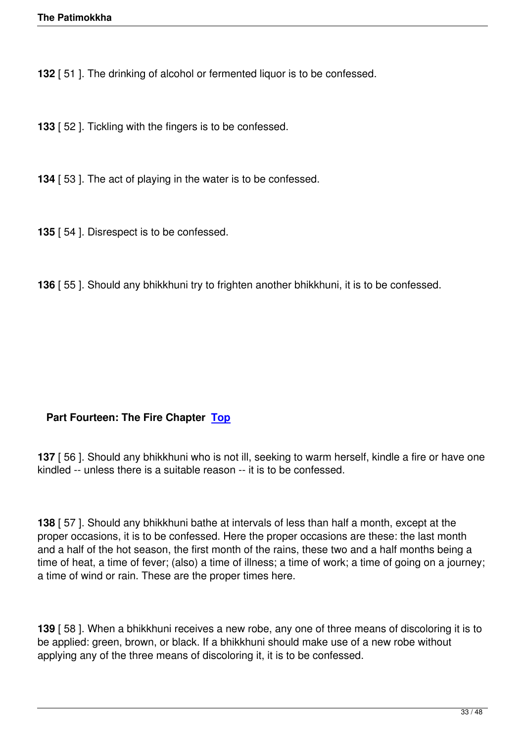**132** [ 51 ]. The drinking of alcohol or fermented liquor is to be confessed.

**133** [ 52 ]. Tickling with the fingers is to be confessed.

**134** [ 53 ]. The act of playing in the water is to be confessed.

**135** [ 54 ]. Disrespect is to be confessed.

**136** [ 55 ]. Should any bhikkhuni try to frighten another bhikkhuni, it is to be confessed.

# **Part Fourteen: The Fire Chapter Top**

**137** [ 56 ]. Should any bhikkhuni who [is no](#toc)t ill, seeking to warm herself, kindle a fire or have one kindled -- unless there is a suitable reason -- it is to be confessed.

**138** [ 57 ]. Should any bhikkhuni bathe at intervals of less than half a month, except at the proper occasions, it is to be confessed. Here the proper occasions are these: the last month and a half of the hot season, the first month of the rains, these two and a half months being a time of heat, a time of fever; (also) a time of illness; a time of work; a time of going on a journey; a time of wind or rain. These are the proper times here.

**139** [ 58 ]. When a bhikkhuni receives a new robe, any one of three means of discoloring it is to be applied: green, brown, or black. If a bhikkhuni should make use of a new robe without applying any of the three means of discoloring it, it is to be confessed.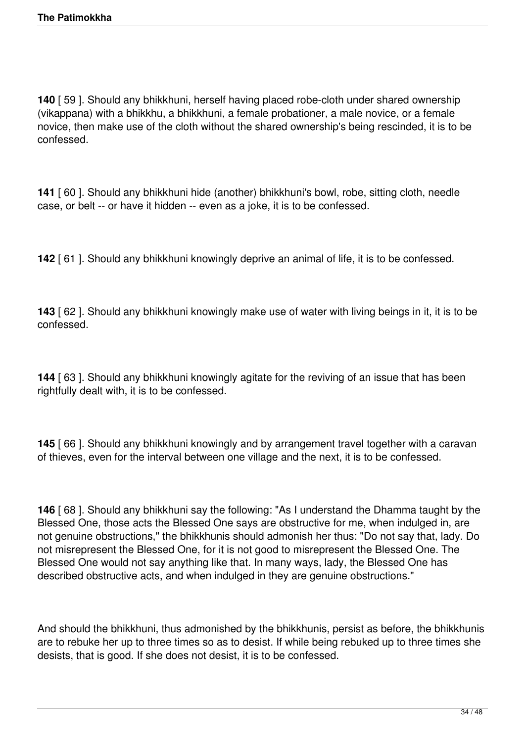**140** [ 59 ]. Should any bhikkhuni, herself having placed robe-cloth under shared ownership (vikappana) with a bhikkhu, a bhikkhuni, a female probationer, a male novice, or a female novice, then make use of the cloth without the shared ownership's being rescinded, it is to be confessed.

**141** [ 60 ]. Should any bhikkhuni hide (another) bhikkhuni's bowl, robe, sitting cloth, needle case, or belt -- or have it hidden -- even as a joke, it is to be confessed.

**142** [ 61 ]. Should any bhikkhuni knowingly deprive an animal of life, it is to be confessed.

**143** [ 62 ]. Should any bhikkhuni knowingly make use of water with living beings in it, it is to be confessed.

**144** [ 63 ]. Should any bhikkhuni knowingly agitate for the reviving of an issue that has been rightfully dealt with, it is to be confessed.

**145** [ 66 ]. Should any bhikkhuni knowingly and by arrangement travel together with a caravan of thieves, even for the interval between one village and the next, it is to be confessed.

**146** [ 68 ]. Should any bhikkhuni say the following: "As I understand the Dhamma taught by the Blessed One, those acts the Blessed One says are obstructive for me, when indulged in, are not genuine obstructions," the bhikkhunis should admonish her thus: "Do not say that, lady. Do not misrepresent the Blessed One, for it is not good to misrepresent the Blessed One. The Blessed One would not say anything like that. In many ways, lady, the Blessed One has described obstructive acts, and when indulged in they are genuine obstructions."

And should the bhikkhuni, thus admonished by the bhikkhunis, persist as before, the bhikkhunis are to rebuke her up to three times so as to desist. If while being rebuked up to three times she desists, that is good. If she does not desist, it is to be confessed.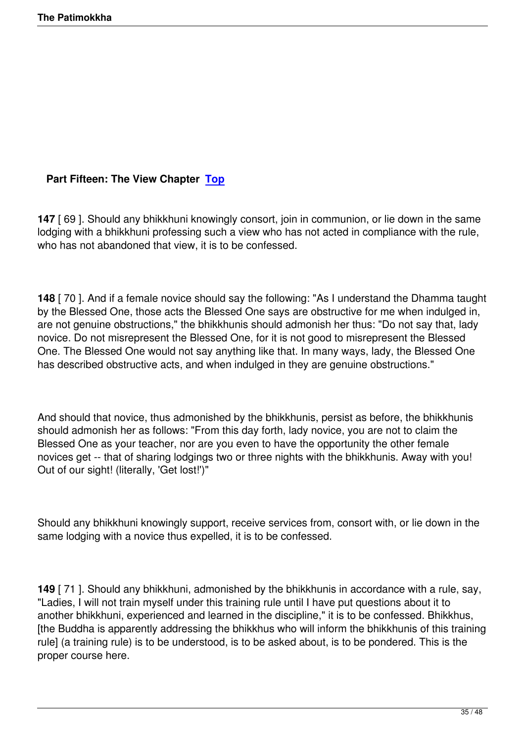## **Part Fifteen: The View Chapter Top**

**147** [ 69 ]. Should any bhikkhuni kn[owing](#toc)ly consort, join in communion, or lie down in the same lodging with a bhikkhuni professing such a view who has not acted in compliance with the rule, who has not abandoned that view, it is to be confessed.

**148** [ 70 ]. And if a female novice should say the following: "As I understand the Dhamma taught by the Blessed One, those acts the Blessed One says are obstructive for me when indulged in, are not genuine obstructions," the bhikkhunis should admonish her thus: "Do not say that, lady novice. Do not misrepresent the Blessed One, for it is not good to misrepresent the Blessed One. The Blessed One would not say anything like that. In many ways, lady, the Blessed One has described obstructive acts, and when indulged in they are genuine obstructions."

And should that novice, thus admonished by the bhikkhunis, persist as before, the bhikkhunis should admonish her as follows: "From this day forth, lady novice, you are not to claim the Blessed One as your teacher, nor are you even to have the opportunity the other female novices get -- that of sharing lodgings two or three nights with the bhikkhunis. Away with you! Out of our sight! (literally, 'Get lost!')"

Should any bhikkhuni knowingly support, receive services from, consort with, or lie down in the same lodging with a novice thus expelled, it is to be confessed.

**149** [ 71 ]. Should any bhikkhuni, admonished by the bhikkhunis in accordance with a rule, say, "Ladies, I will not train myself under this training rule until I have put questions about it to another bhikkhuni, experienced and learned in the discipline," it is to be confessed. Bhikkhus, [the Buddha is apparently addressing the bhikkhus who will inform the bhikkhunis of this training rule] (a training rule) is to be understood, is to be asked about, is to be pondered. This is the proper course here.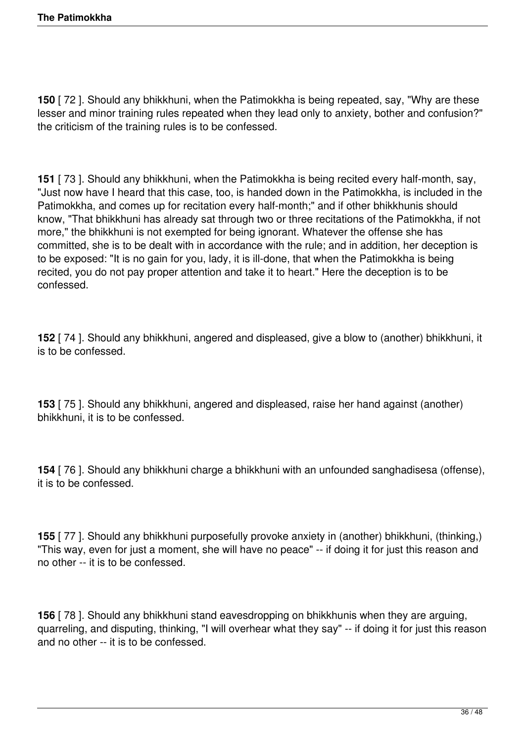**150** [ 72 ]. Should any bhikkhuni, when the Patimokkha is being repeated, say, "Why are these lesser and minor training rules repeated when they lead only to anxiety, bother and confusion?" the criticism of the training rules is to be confessed.

**151** [ 73 ]. Should any bhikkhuni, when the Patimokkha is being recited every half-month, say, "Just now have I heard that this case, too, is handed down in the Patimokkha, is included in the Patimokkha, and comes up for recitation every half-month;" and if other bhikkhunis should know, "That bhikkhuni has already sat through two or three recitations of the Patimokkha, if not more," the bhikkhuni is not exempted for being ignorant. Whatever the offense she has committed, she is to be dealt with in accordance with the rule; and in addition, her deception is to be exposed: "It is no gain for you, lady, it is ill-done, that when the Patimokkha is being recited, you do not pay proper attention and take it to heart." Here the deception is to be confessed.

**152** [ 74 ]. Should any bhikkhuni, angered and displeased, give a blow to (another) bhikkhuni, it is to be confessed.

**153** [ 75 ]. Should any bhikkhuni, angered and displeased, raise her hand against (another) bhikkhuni, it is to be confessed.

**154** [ 76 ]. Should any bhikkhuni charge a bhikkhuni with an unfounded sanghadisesa (offense), it is to be confessed.

**155** [ 77 ]. Should any bhikkhuni purposefully provoke anxiety in (another) bhikkhuni, (thinking,) "This way, even for just a moment, she will have no peace" -- if doing it for just this reason and no other -- it is to be confessed.

**156** [ 78 ]. Should any bhikkhuni stand eavesdropping on bhikkhunis when they are arguing, quarreling, and disputing, thinking, "I will overhear what they say" -- if doing it for just this reason and no other -- it is to be confessed.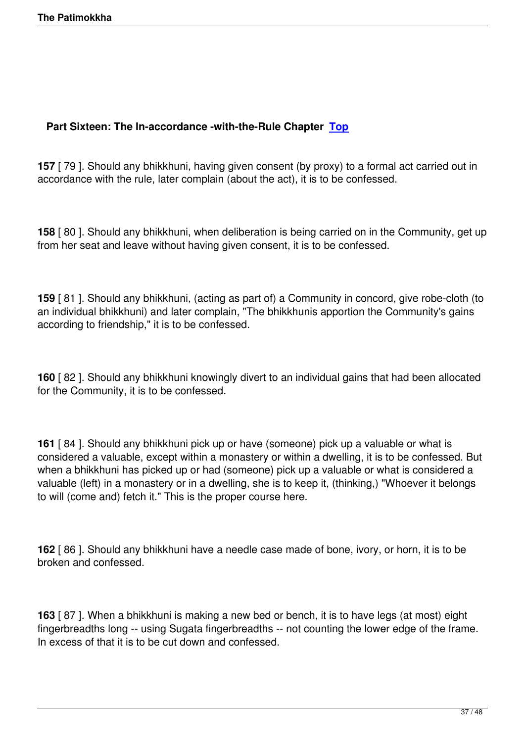## **Part Sixteen: The In-accordance -with-the-Rule Chapter Top**

**157** [ 79 ]. Should any bhikkhuni, having given consent (by pr[oxy\) t](#toc)o a formal act carried out in accordance with the rule, later complain (about the act), it is to be confessed.

**158** [ 80 ]. Should any bhikkhuni, when deliberation is being carried on in the Community, get up from her seat and leave without having given consent, it is to be confessed.

**159** [ 81 ]. Should any bhikkhuni, (acting as part of) a Community in concord, give robe-cloth (to an individual bhikkhuni) and later complain, "The bhikkhunis apportion the Community's gains according to friendship," it is to be confessed.

**160** [ 82 ]. Should any bhikkhuni knowingly divert to an individual gains that had been allocated for the Community, it is to be confessed.

**161** [ 84 ]. Should any bhikkhuni pick up or have (someone) pick up a valuable or what is considered a valuable, except within a monastery or within a dwelling, it is to be confessed. But when a bhikkhuni has picked up or had (someone) pick up a valuable or what is considered a valuable (left) in a monastery or in a dwelling, she is to keep it, (thinking,) "Whoever it belongs to will (come and) fetch it." This is the proper course here.

**162** [ 86 ]. Should any bhikkhuni have a needle case made of bone, ivory, or horn, it is to be broken and confessed.

**163** [ 87 ]. When a bhikkhuni is making a new bed or bench, it is to have legs (at most) eight fingerbreadths long -- using Sugata fingerbreadths -- not counting the lower edge of the frame. In excess of that it is to be cut down and confessed.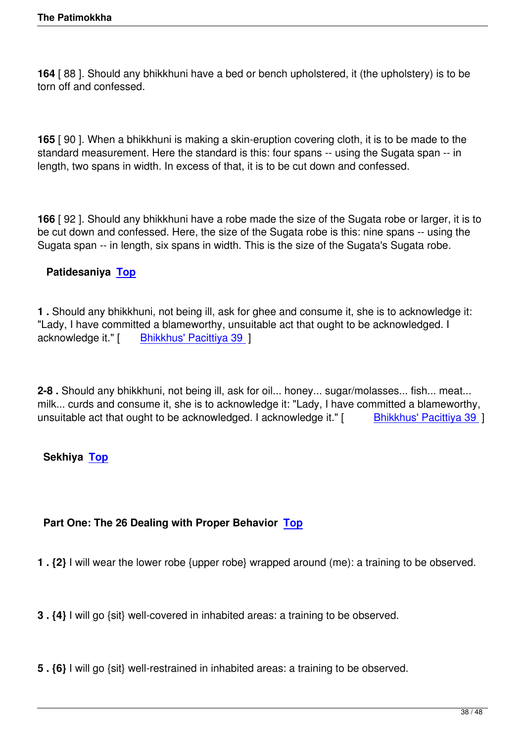**164** [ 88 ]. Should any bhikkhuni have a bed or bench upholstered, it (the upholstery) is to be torn off and confessed.

**165** [ 90 ]. When a bhikkhuni is making a skin-eruption covering cloth, it is to be made to the standard measurement. Here the standard is this: four spans -- using the Sugata span -- in length, two spans in width. In excess of that, it is to be cut down and confessed.

**166** [ 92 ]. Should any bhikkhuni have a robe made the size of the Sugata robe or larger, it is to be cut down and confessed. Here, the size of the Sugata robe is this: nine spans -- using the Sugata span -- in length, six spans in width. This is the size of the Sugata's Sugata robe.

## **Patidesaniya Top**

**1 .** Should any b[hikkh](#toc)uni, not being ill, ask for ghee and consume it, she is to acknowledge it: "Lady, I have committed a blameworthy, unsuitable act that ought to be acknowledged. I acknowledge it." [ Bhikkhus' Pacittiya 39 ]

**2-8 .** Should any bhik[khuni, not being ill, ask](file:///d:/Backup/wwwroot/buddha/patimokkha2.htm#Pc39) for oil... honey... sugar/molasses... fish... meat... milk... curds and consume it, she is to acknowledge it: "Lady, I have committed a blameworthy, unsuitable act that ought to be acknowledged. I acknowledge it." [ Bhikkhus' Pacittiya 39 ]

## **Sekhiya Top**

## **Part One: The 26 Dealing with Proper Behavior Top**

**1 . {2}** I will wear the lower robe {upper robe} wrapp[ed ar](#toc)ound (me): a training to be observed.

**3 . {4}** I will go {sit} well-covered in inhabited areas: a training to be observed.

**5 . {6}** I will go {sit} well-restrained in inhabited areas: a training to be observed.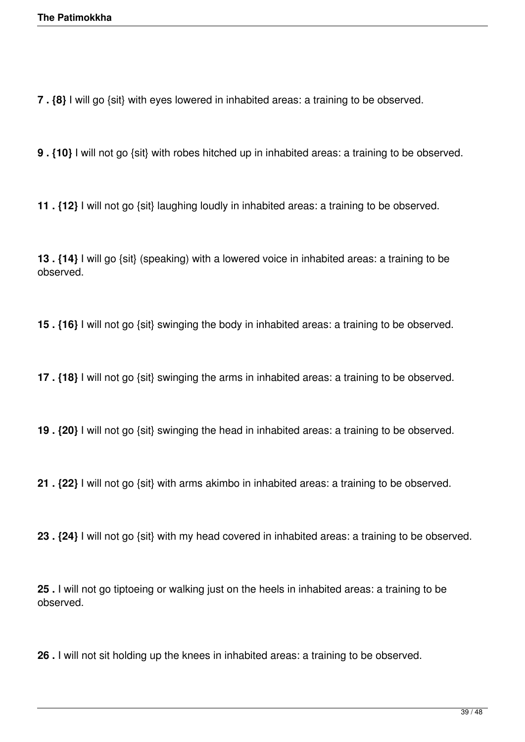**7 . {8}** I will go {sit} with eyes lowered in inhabited areas: a training to be observed.

**9 . {10}** I will not go {sit} with robes hitched up in inhabited areas: a training to be observed.

**11 . {12}** I will not go {sit} laughing loudly in inhabited areas: a training to be observed.

**13 . {14}** I will go {sit} (speaking) with a lowered voice in inhabited areas: a training to be observed.

**15 . {16}** I will not go {sit} swinging the body in inhabited areas: a training to be observed.

**17 . {18}** I will not go {sit} swinging the arms in inhabited areas: a training to be observed.

**19 . {20}** I will not go {sit} swinging the head in inhabited areas: a training to be observed.

**21 . {22}** I will not go {sit} with arms akimbo in inhabited areas: a training to be observed.

**23 . {24}** I will not go {sit} with my head covered in inhabited areas: a training to be observed.

**25 .** I will not go tiptoeing or walking just on the heels in inhabited areas: a training to be observed.

**26 .** I will not sit holding up the knees in inhabited areas: a training to be observed.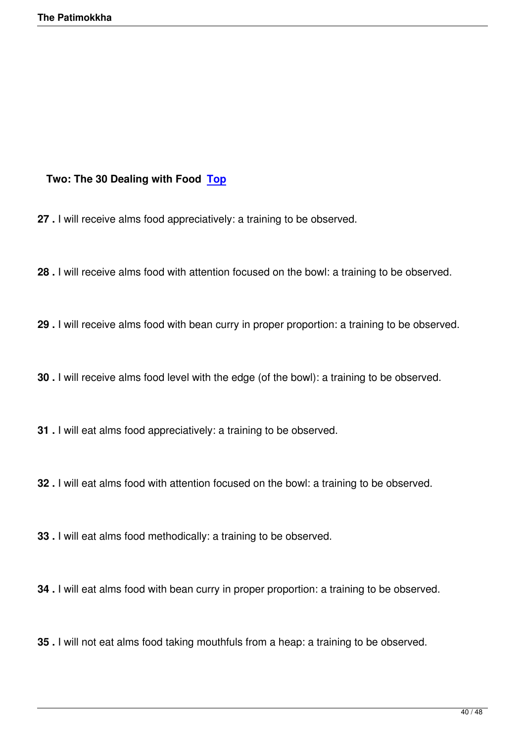#### **Two: The 30 Dealing with Food Top**

**27 .** I will receive alms food appreci[ativel](#toc)y: a training to be observed.

**28 .** I will receive alms food with attention focused on the bowl: a training to be observed.

**29 .** I will receive alms food with bean curry in proper proportion: a training to be observed.

**30 .** I will receive alms food level with the edge (of the bowl): a training to be observed.

**31 .** I will eat alms food appreciatively: a training to be observed.

**32 .** I will eat alms food with attention focused on the bowl: a training to be observed.

**33 .** I will eat alms food methodically: a training to be observed.

**34 .** I will eat alms food with bean curry in proper proportion: a training to be observed.

**35 .** I will not eat alms food taking mouthfuls from a heap: a training to be observed.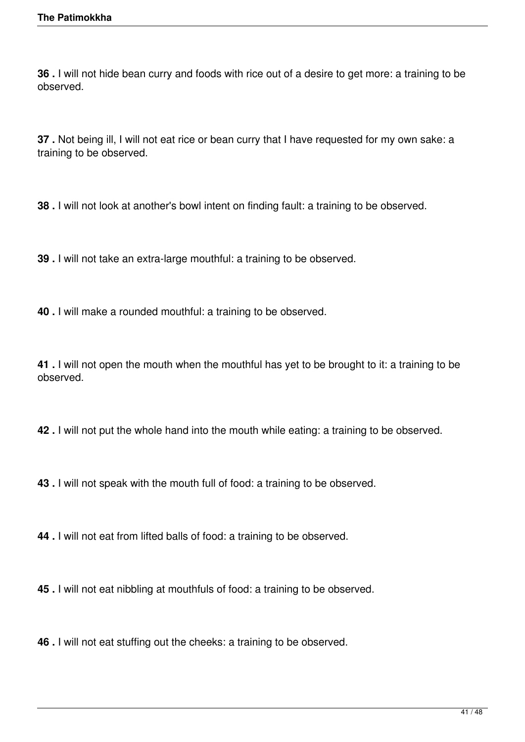**36 .** I will not hide bean curry and foods with rice out of a desire to get more: a training to be observed.

**37 .** Not being ill, I will not eat rice or bean curry that I have requested for my own sake: a training to be observed.

**38 .** I will not look at another's bowl intent on finding fault: a training to be observed.

**39 .** I will not take an extra-large mouthful: a training to be observed.

**40 .** I will make a rounded mouthful: a training to be observed.

**41 .** I will not open the mouth when the mouthful has yet to be brought to it: a training to be observed.

**42 .** I will not put the whole hand into the mouth while eating: a training to be observed.

**43 .** I will not speak with the mouth full of food: a training to be observed.

**44 .** I will not eat from lifted balls of food: a training to be observed.

**45 .** I will not eat nibbling at mouthfuls of food: a training to be observed.

**46 .** I will not eat stuffing out the cheeks: a training to be observed.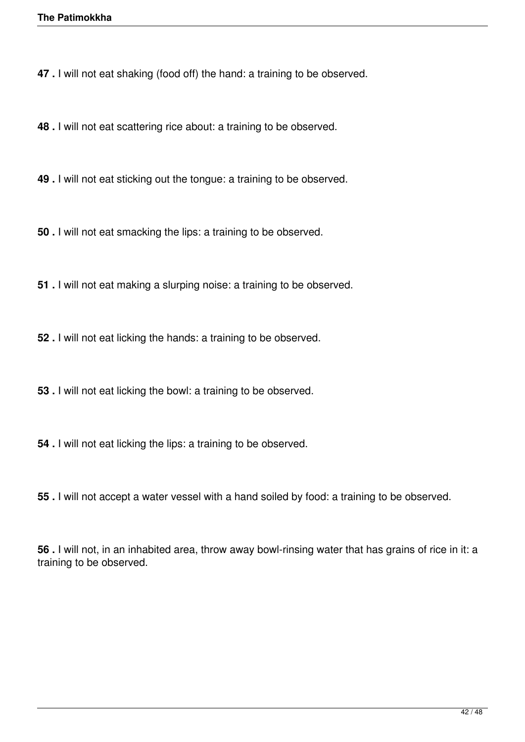**47 .** I will not eat shaking (food off) the hand: a training to be observed.

**48 .** I will not eat scattering rice about: a training to be observed.

**49 .** I will not eat sticking out the tongue: a training to be observed.

**50** . I will not eat smacking the lips: a training to be observed.

**51** . I will not eat making a slurping noise: a training to be observed.

**52** . I will not eat licking the hands: a training to be observed.

**53 .** I will not eat licking the bowl: a training to be observed.

**54 .** I will not eat licking the lips: a training to be observed.

**55 .** I will not accept a water vessel with a hand soiled by food: a training to be observed.

**56 .** I will not, in an inhabited area, throw away bowl-rinsing water that has grains of rice in it: a training to be observed.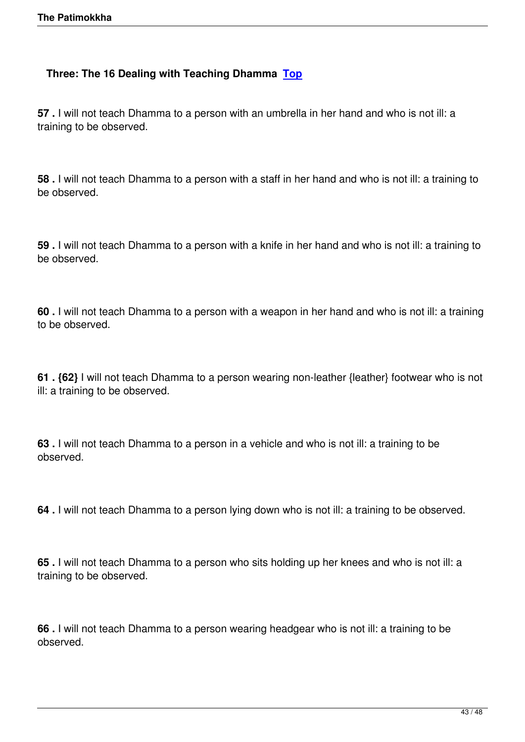**57 .** I will not teach Dhamma to a person with an um[brella](#toc) in her hand and who is not ill: a training to be observed.

**58 .** I will not teach Dhamma to a person with a staff in her hand and who is not ill: a training to be observed.

**59 .** I will not teach Dhamma to a person with a knife in her hand and who is not ill: a training to be observed.

**60 .** I will not teach Dhamma to a person with a weapon in her hand and who is not ill: a training to be observed.

**61 . {62}** I will not teach Dhamma to a person wearing non-leather {leather} footwear who is not ill: a training to be observed.

**63 .** I will not teach Dhamma to a person in a vehicle and who is not ill: a training to be observed.

**64 .** I will not teach Dhamma to a person lying down who is not ill: a training to be observed.

**65 .** I will not teach Dhamma to a person who sits holding up her knees and who is not ill: a training to be observed.

**66 .** I will not teach Dhamma to a person wearing headgear who is not ill: a training to be observed.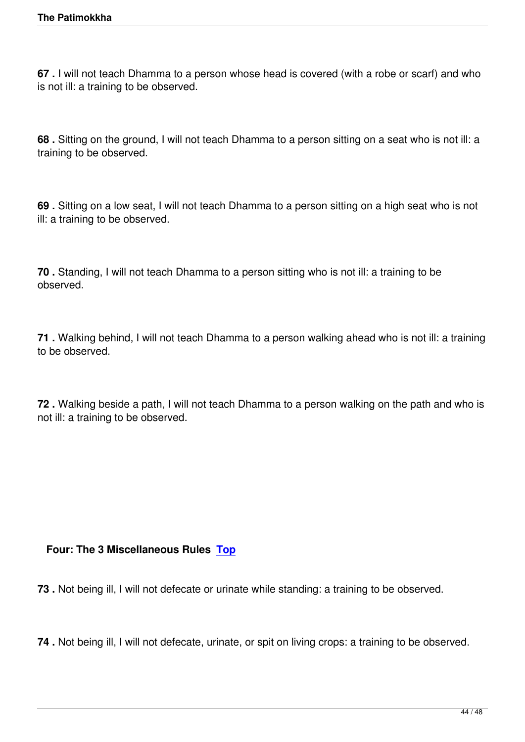**67 .** I will not teach Dhamma to a person whose head is covered (with a robe or scarf) and who is not ill: a training to be observed.

**68 .** Sitting on the ground, I will not teach Dhamma to a person sitting on a seat who is not ill: a training to be observed.

**69 .** Sitting on a low seat, I will not teach Dhamma to a person sitting on a high seat who is not ill: a training to be observed.

**70 .** Standing, I will not teach Dhamma to a person sitting who is not ill: a training to be observed.

**71 .** Walking behind, I will not teach Dhamma to a person walking ahead who is not ill: a training to be observed.

**72 .** Walking beside a path, I will not teach Dhamma to a person walking on the path and who is not ill: a training to be observed.

## **Four: The 3 Miscellaneous Rules Top**

**73 .** Not being ill, I will not defecate or [urina](#toc)te while standing: a training to be observed.

**74 .** Not being ill, I will not defecate, urinate, or spit on living crops: a training to be observed.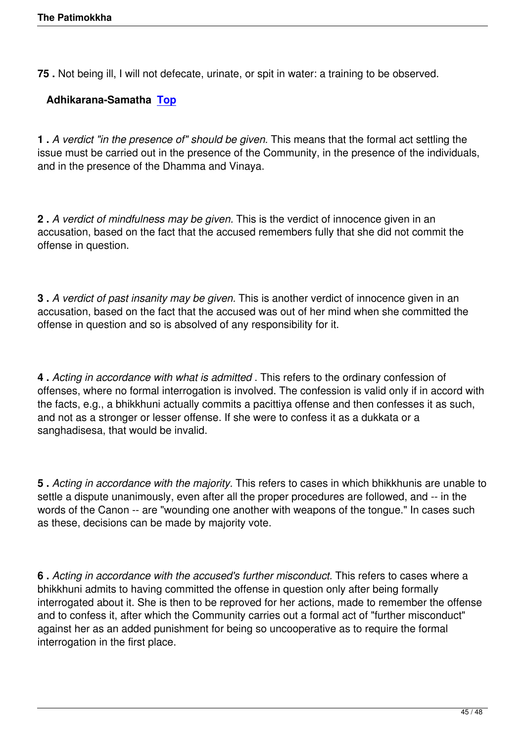**75 .** Not being ill, I will not defecate, urinate, or spit in water: a training to be observed.

**Adhikarana-Samatha Top**

**1 .** *A verdict "in the prese[nce o](#toc)f" should be given.* This means that the formal act settling the issue must be carried out in the presence of the Community, in the presence of the individuals, and in the presence of the Dhamma and Vinaya.

**2 .** *A verdict of mindfulness may be given.* This is the verdict of innocence given in an accusation, based on the fact that the accused remembers fully that she did not commit the offense in question.

**3 .** *A verdict of past insanity may be given.* This is another verdict of innocence given in an accusation, based on the fact that the accused was out of her mind when she committed the offense in question and so is absolved of any responsibility for it.

**4 .** *Acting in accordance with what is admitted* . This refers to the ordinary confession of offenses, where no formal interrogation is involved. The confession is valid only if in accord with the facts, e.g., a bhikkhuni actually commits a pacittiya offense and then confesses it as such, and not as a stronger or lesser offense. If she were to confess it as a dukkata or a sanghadisesa, that would be invalid.

**5 .** *Acting in accordance with the majority.* This refers to cases in which bhikkhunis are unable to settle a dispute unanimously, even after all the proper procedures are followed, and -- in the words of the Canon -- are "wounding one another with weapons of the tongue." In cases such as these, decisions can be made by majority vote.

**6 .** *Acting in accordance with the accused's further misconduct.* This refers to cases where a bhikkhuni admits to having committed the offense in question only after being formally interrogated about it. She is then to be reproved for her actions, made to remember the offense and to confess it, after which the Community carries out a formal act of "further misconduct" against her as an added punishment for being so uncooperative as to require the formal interrogation in the first place.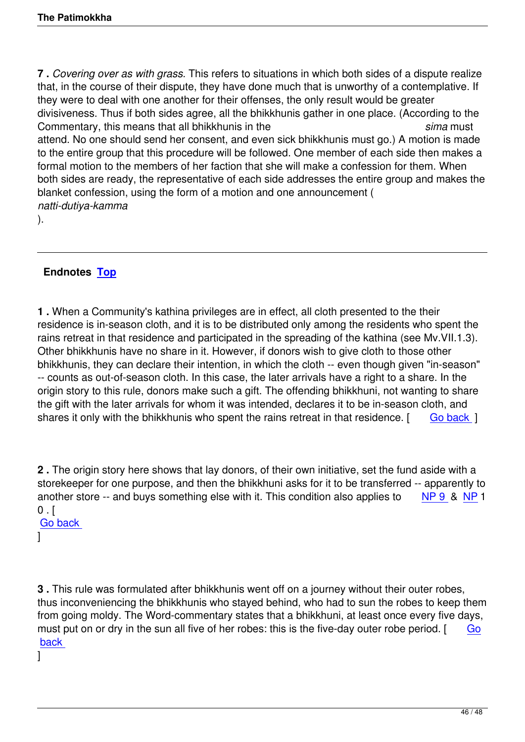**7 .** *Covering over as with grass.* This refers to situations in which both sides of a dispute realize that, in the course of their dispute, they have done much that is unworthy of a contemplative. If they were to deal with one another for their offenses, the only result would be greater divisiveness. Thus if both sides agree, all the bhikkhunis gather in one place. (According to the Commentary, this means that all bhikkhunis in the *sima* must attend. No one should send her consent, and even sick bhikkhunis must go.) A motion is made to the entire group that this procedure will be followed. One member of each side then makes a formal motion to the members of her faction that she will make a confession for them. When both sides are ready, the representative of each side addresses the entire group and makes the blanket confession, using the form of a motion and one announcement ( *natti-dutiya-kamma* 

).

## **Endnotes Top**

**1 .** When a [Comm](#toc)unity's kathina privileges are in effect, all cloth presented to the their residence is in-season cloth, and it is to be distributed only among the residents who spent the rains retreat in that residence and participated in the spreading of the kathina (see Mv.VII.1.3). Other bhikkhunis have no share in it. However, if donors wish to give cloth to those other bhikkhunis, they can declare their intention, in which the cloth -- even though given "in-season" -- counts as out-of-season cloth. In this case, the later arrivals have a right to a share. In the origin story to this rule, donors make such a gift. The offending bhikkhuni, not wanting to share the gift with the later arrivals for whom it was intended, declares it to be in-season cloth, and shares it only with the bhikkhunis who spent the rains retreat in that residence.  $\lceil$  Go back  $\rceil$ 

**2 .** The origin story here shows that lay donors, of their own initiative, set the fund a[side with a](#note1tag) storekeeper for one purpose, and then the bhikkhuni asks for it to be transferred -- apparently to another store  $-$  and buys something else with it. This condition also applies to NP 9 & NP 1  $0.1$ 

Go back ]

]

**3 .** This rule was formulated after bhikkhunis went off on a journey without their outer robes, thus inconveniencing the bhikkhunis who stayed behind, who had to sun the robes to keep them from going moldy. The Word-commentary states that a bhikkhuni, at least once every five days, must put on or dry in the sun all five of her robes: this is the five-day outer robe period.  $\sqrt{6}$ back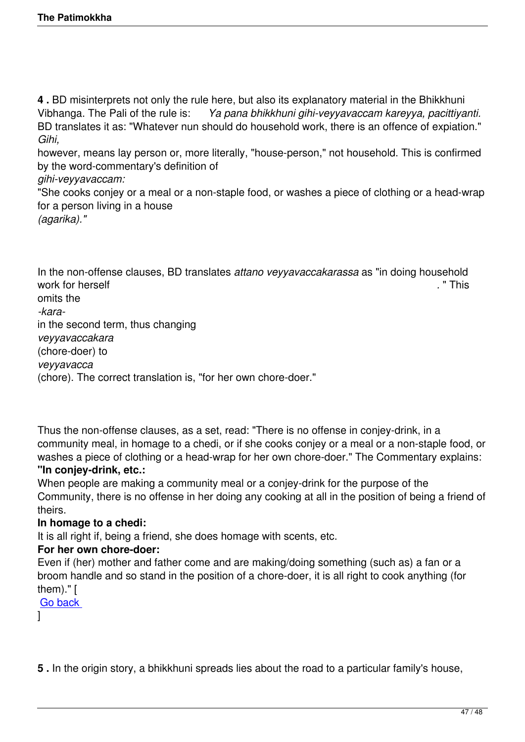**4 .** BD misinterprets not only the rule here, but also its explanatory material in the Bhikkhuni Vibhanga. The Pali of the rule is: *Ya pana bhikkhuni gihi-veyyavaccam kareyya, pacittiyanti.*  BD translates it as: "Whatever nun should do household work, there is an offence of expiation." *Gihi,* 

however, means lay person or, more literally, "house-person," not household. This is confirmed by the word-commentary's definition of

*gihi-veyyavaccam:* 

"She cooks conjey or a meal or a non-staple food, or washes a piece of clothing or a head-wrap for a person living in a house

*(agarika)."* 

In the non-offense clauses, BD translates *attano veyyavaccakarassa* as "in doing household work for herself *.* " This omits the *-kara*in the second term, thus changing *veyyavaccakara*  (chore-doer) to *veyyavacca*  (chore). The correct translation is, "for her own chore-doer."

Thus the non-offense clauses, as a set, read: "There is no offense in conjey-drink, in a community meal, in homage to a chedi, or if she cooks conjey or a meal or a non-staple food, or washes a piece of clothing or a head-wrap for her own chore-doer." The Commentary explains:

## **"In conjey-drink, etc.:**

When people are making a community meal or a conjey-drink for the purpose of the Community, there is no offense in her doing any cooking at all in the position of being a friend of theirs.

## **In homage to a chedi:**

It is all right if, being a friend, she does homage with scents, etc.

## **For her own chore-doer:**

Even if (her) mother and father come and are making/doing something (such as) a fan or a broom handle and so stand in the position of a chore-doer, it is all right to cook anything (for them)." [

Go back

]

**5 .** In the origin story, a bhikkhuni spreads lies about the road to a particular family's house,